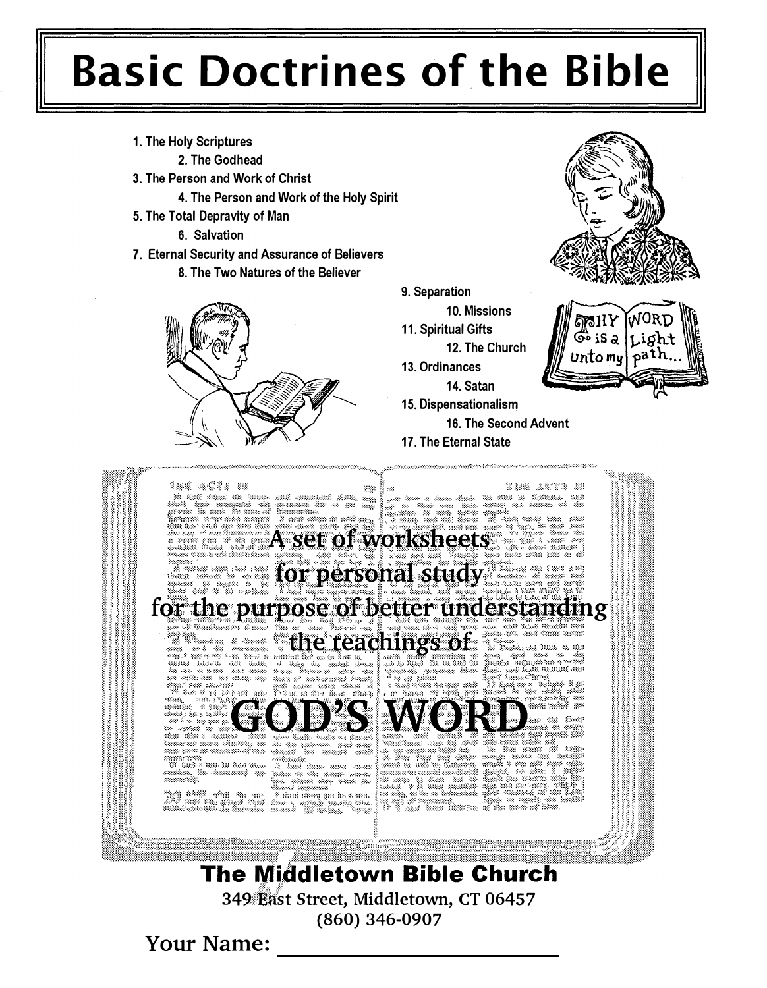# **Basic Doctrines of the Bible**

- 1. The Holy Scriptures
	- 2. The Godhead
- 3. The Person and Work of Christ
	- 4. The Person and Work of the Holy Spirit
- 5. The Total Depravity of Man
	- 6. Salvation
- 7. Eternal Security and Assurance of Believers
	- 8. The Two Natures of the Believer



9. Separation

10. Missions

- 11. Spiritual Gifts
- 12. The Church
- 13. Ordinances
- 14. Satan
- 15. Dispensationalism
	- 16. The Second Advent

డో• iS a

unto my

path

17. The Eternal State



**The Middletown Bible Church** 349 East Street, Middletown, CT 06457  $(860)$  346-0907

**Your Name:**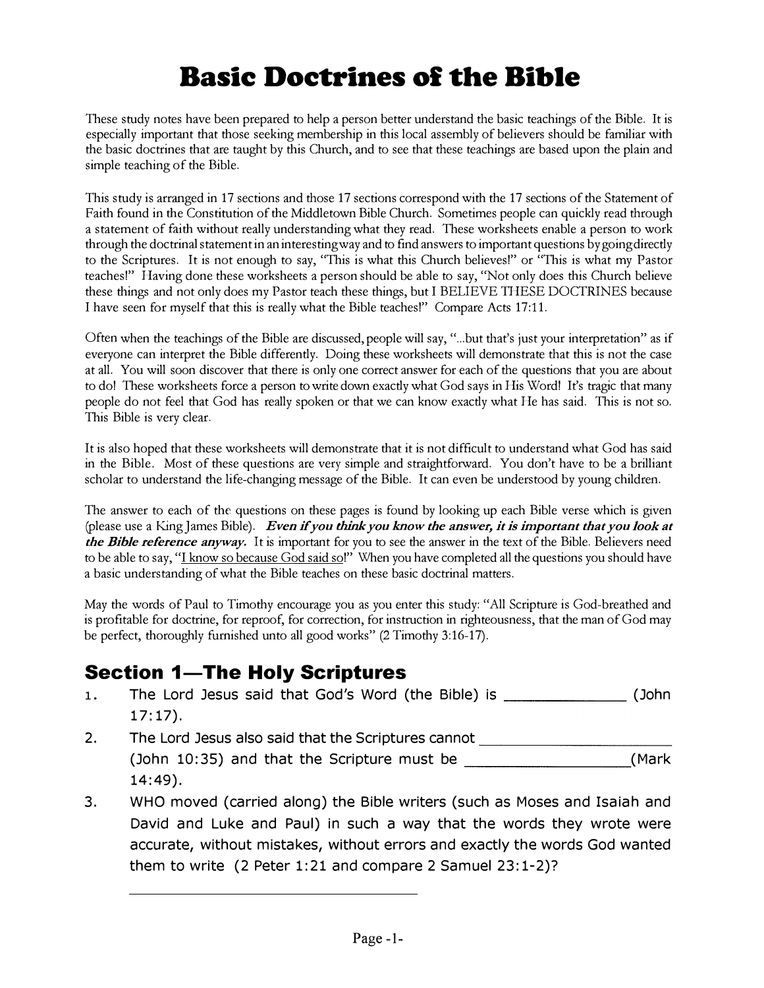# Basic Doctrines of the Bible

These study notes have been prepared to help a person better understand the basic teachings of the Bible. It is especially important that those seeking membership in this local assembly of believers should be familiar with the basic doctrines that are taught by this Church, and to see that these teachings are based upon the plain and simple teaching of the Bible.

This study is arranged in 17 sections and those 17 sections correspond with the 17 sections of the Statement of Faith found in the Constitution of the Middletown Bible Church. Sometimes people can quickly read through a statement of faith without really understanding what they read. These worksheets enable a person to work through the doctrinal statement in an interesting way and to find answers to important questions by going directly to the Scriptures. It is not enough to say, "This is what this Church believes!" or "This is what my Pastor teaches!" Having done these worksheets a person should be able to say, "Not only does this Church believe these things and not only does my Pastor teach these things, but I BELIEVE THESE DOCTRINES because I have seen for myself that this is really what the Bible teaches!" Compare Acts 17:11.

Often when the teachings of the Bible are discussed, people will say, " ... but that's just your interpretation" as if everyone can interpret the Bible differently. Doing these worksheets will demonstrate that this is not the case at all. You will soon discover that there is only one correct answer for each of the questions that you are about to do! These worksheets force a person to write down exactly what God says in His Word! It's tragic that many people do not feel that God has really spoken or that we can know exactly what He has said. This is not so. This Bible is very clear.

It is also hoped that these worksheets will demonstrate that it is not difficult to understand what God has said in the Bible. Most of these questions are very simple and straightforward. You don't have to be a brilliant scholar to understand the life-changing message of the Bible. It can even be understood by young children.

The answer to each of the questions on these pages is found by looking up each Bible verse which is given (please use a King James Bible). Even if you think you know the answer, it is important that you look at the Bible reference anyway. It is important for you to see the answer in the text of the Bible. Believers need to be able to say, "I know so because God said so!" When you have completed all the questions you should have a basic understanding of what the Bible teaches on these basic doctrinal matters.

May the words of Paul to Timothy encourage you as you enter this study: "All Scripture is God-breathed and is profitable for doctrine, for reproof, for correction, for instruction in righteousness, that the man of God may be perfect, thoroughly furnished unto all good works" (2 Timothy 3:16-17).

## **Section 1-The Holy Scriptures**

- 1. The Lord Jesus said that God's Word (the Bible) is \_\_\_\_\_\_\_\_\_\_\_\_\_\_\_\_ (John 17:17).
- 2. The Lord Jesus also said that the Scriptures cannot **The Lord Sesuper** 14:49).
- *Le reference anyway.* It is important for you to see the answer in the text of the Bible. Believers need of estay." Whow we completed all the questions you should have to easy." Leaves on described and medicine, of Paul 3. WHO moved (carried along) the Bible writers (such as Moses and Isaiah and David and Luke and Paul) in such a way that the words they wrote were accurate, without mistakes, without errors and exactly the words God wanted them to write (2 Peter 1:21 and compare 2 Samuel 23:1-2)?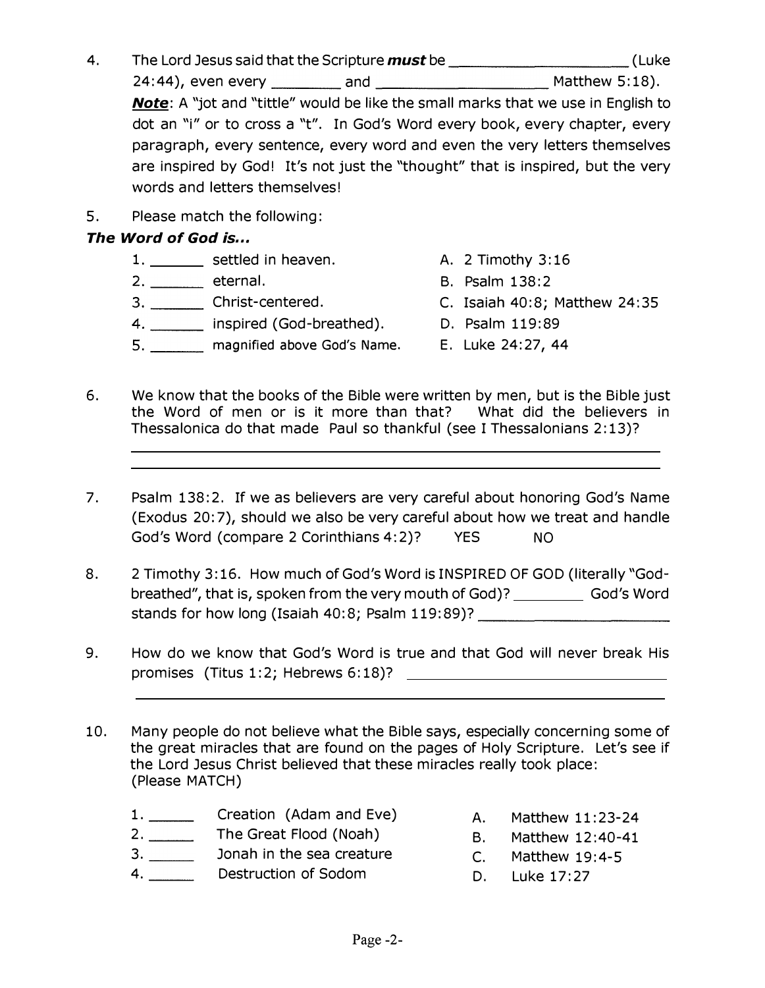- 4. The Lord Jesus said that the Scripture must be \_\_\_\_\_\_\_\_\_\_\_\_\_\_\_\_\_\_\_\_\_\_\_\_(Luke 24:44), even every \_\_\_\_ and \_\_\_\_\_\_\_\_\_ Matthew 5: 18). Note: A "jot and "tittle" would be like the small marks that we use in English to dot an "i" or to cross a "t". In God's Word every book, every chapter, every paragraph, every sentence, every word and even the very letters themselves are inspired by God! It's not just the "thought" that is inspired, but the very words and letters themselves!
- 5. Please match the following:

#### The Word of God is...

- 1. \_\_\_\_\_\_\_\_ settled in heaven. The A. 2 Timothy 3:16
- 2. \_\_\_\_\_\_\_\_ eternal.
- 3. \_\_ \_ Christ-centered.
- 4. \_\_ \_ inspired (God-breathed). D. Psalm 119:89
- 5. \_\_ \_ magnified above God's Name. E. Luke 24:27, 44
- 
- B. Psalm 138:2
- C. Isaiah 40:8; Matthew 24: 35
	-
	-
- 6. We know that the books of the Bible were written by men, but is the Bible just the Word of men or is it more than that? What did the believers in Thessalonica do that made Paul so thankful (see I Thessalonians 2: 13)?
- 7. Psalm 138:2. If we as believers are very careful about honoring God's Name (Exodus 20: 7), should we also be very careful about how we treat and handle God's Word (compare 2 Corinthians 4:2)? YES NO
- 8. 2 Timothy 3:16. How much of God's Word is INSPIRED OF GOD (literally "Godbreathed", that is, spoken from the very mouth of God)? God's Word stands for how long (Isaiah 40:8; Psalm 119:89)?
- 9. How do we know that God's Word is true and that God will never break His promises (Titus 1:2; Hebrews 6:18)?
- 10. Many people do not believe what the Bible says, especially concerning some of the great miracles that are found on the pages of Holy Scripture. Let's see if the Lord Jesus Christ believed that these miracles really took place: (Please MATCH)
	- 1. Creation (Adam and Eve) A. Matthew 11:23-24
	- 2. The Great Flood (Noah) B. Matthew 12:40-41
	- 3. \_\_\_\_\_\_\_ Jonah in the sea creature c. Matthew 19:4-5
	- 4. Destruction of Sodom B. Luke 17:27
- 
- 
- -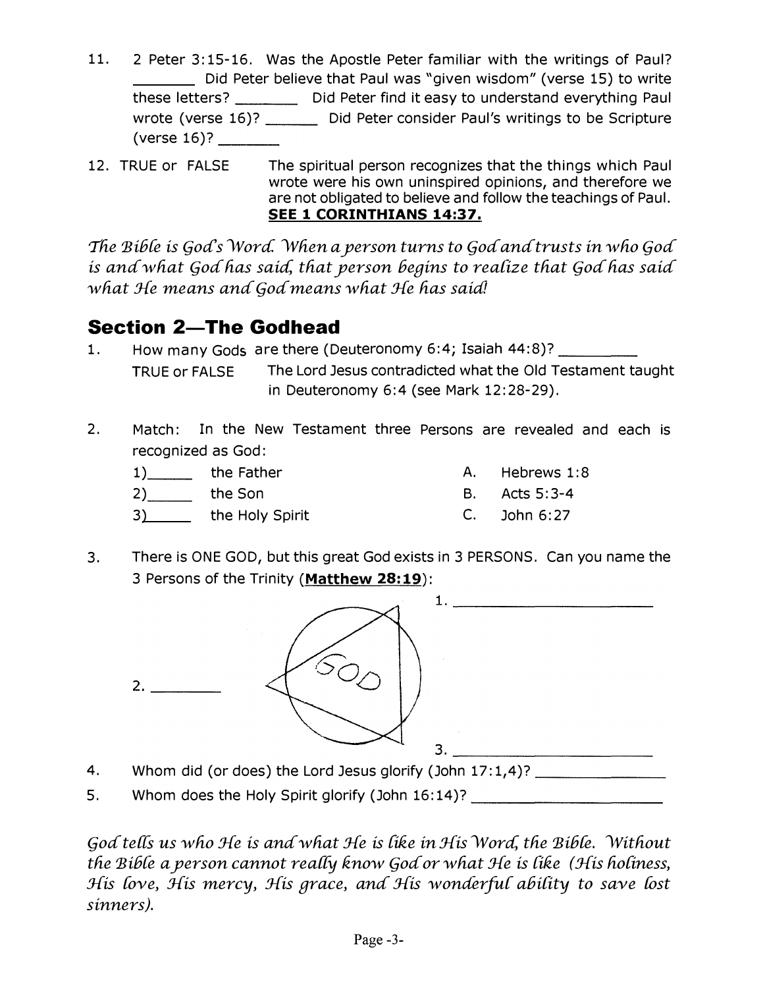- 11. 2 Peter 3:15-16. Was the Apostle Peter familiar with the writings of Paul? Did Peter believe that Paul was "given wisdom" (verse 15) to write these letters? \_\_\_\_\_\_\_\_\_ Did Peter find it easy to understand everything Paul wrote (verse 16)? \_\_\_\_\_\_\_ Did Peter consider Paul's writings to be Scripture  $(verse 16)?$
- 12. TRUE or FALSE The spiritual person recognizes that the things which Paul wrote were his own uninspired opinions, and therefore we are not obligated to believe and follow the teachings of Paul. SEE 1 CORINTHIANS 14:37.

The Bible is God's Word. When a person turns to God and trusts in who God is and what God has said, that person begins to realize that God has said what He means and God means what He has said!

# **Section 2-The Godhead**

- 1. How many Gods are there (Deuteronomy 6:4; Isaiah 44:8)? \_\_\_\_ \_\_ TRUE or FALSE The Lord Jesus contradicted what the Old Testament taught in Deuteronomy 6:4 (see Mark 12:28-29).
- 2. Match: In the New Testament three Persons are revealed and each is recognized as God:
	- 1) the Father A. Hebrews 1:8 2) the Son B. Acts 5:3-4 3) the Holy Spirit C. John 6:27
- 3. There is ONE GOD, but this great God exists in 3 PERSONS. Can you name the 3 Persons of the Trinity (Matthew 28:19):



- 4. Whom did (or does) the Lord Jesus glorify (John 17:1,4)? \_\_\_\_\_\_\_\_\_\_\_\_\_\_\_\_\_\_\_\_
- 5. Whom does the Holy Spirit glorify (John 16:14)? \_\_\_\_\_\_\_\_\_\_\_\_\_\_\_\_\_\_\_\_\_\_\_\_\_\_\_\_\_

God tells us who He is and what He is like in His Word, the Bible. Without the  $B$ ible a person cannot really know God or what  $He$  is like (His holiness, His love, His mercy, His grace, and His wonderful ability to save lost sinners).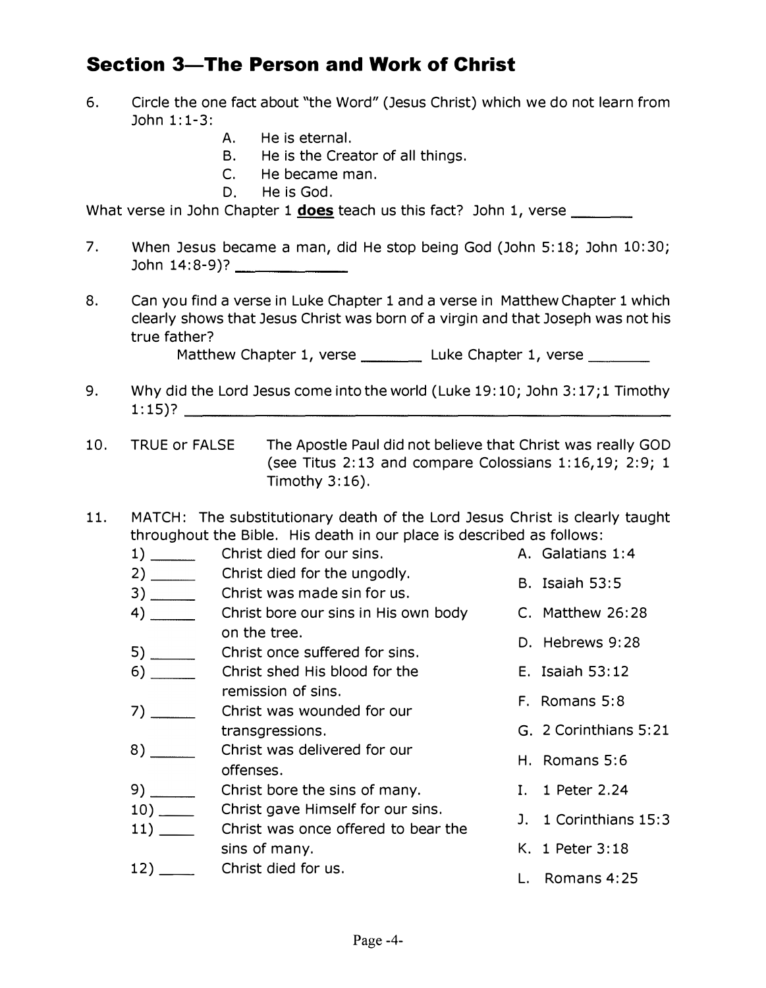#### Section 3-The Person and Work of Christ

- 6. Circle the one fact about "the Word" (Jesus Christ) which we do not learn from John 1:1-3:
	- A. He is eternal.
	- B. He is the Creator of all things.
	- C. He became man.
	- D. He is God.

What verse in John Chapter 1 does teach us this fact? John 1, verse

- 7. When Jesus became a man, did He stop being God (John 5:18; John 10:30; John 14:8-9)? \_\_\_\_\_ \_
- 8. Can you find a verse in Luke Chapter 1 and a verse in Matthew Chapter 1 which clearly shows that Jesus Christ was born of a virgin and that Joseph was not his true father?

Matthew Chapter 1, verse \_\_\_\_\_\_\_\_\_\_ Luke Chapter 1, verse

- 9. Why did the Lord Jesus come into the world (Luke 19:10; John 3:17;1 Timothy 1:15)?
- 10. TRUE or The Apostle Paul did not believe that Christ was really GOD (see Titus 2:13 and compare Colossians 1:16,19; 2:9; 1 Timothy  $3:16$ ).
- 11. MATCH: The substitutionary death of the Lord Jesus Christ is clearly taught throughout the Bible. His death in our place is described as follows:
- **---The Person and Work of Christ**<br>
ne one fact about "the Word" (Jesus Christ) which we do not learn from<br>
1-3:<br>
A. He is sternal.<br>
B. He is tecne cheator of all things.<br>
C. He became nam,<br>
D. He is God.<br>
D. He is God.<br>
1 1) Christ died for our sins. A. Galatians 1:4 2) \_\_\_\_\_\_\_\_ Christ died for the ungodly. 3) \_\_\_\_\_\_\_\_\_\_\_\_ Christ was made sin for us. 4) \_\_\_\_\_\_\_\_\_\_ Christ bore our sins in His own body \_\_\_\_\_\_ C. Matthew 26:28 on the tree. 5) \_\_\_\_\_\_\_\_\_ Christ once suffered for sins. 6) Christ shed His blood for the remission of sins. 7) Christ was wounded for our transgressions. 8) \_\_\_\_\_\_\_\_\_ Christ was delivered for our offenses. 9) Christ bore the sins of many. 10) \_\_\_\_\_\_\_ Christ gave Himself for our sins. 11) \_\_\_\_\_\_ Christ was once offered to bear the sins of many. 12) \_\_\_\_\_\_ Christ died for us. B. Isaiah 53: 5 D. Hebrews 9: 28 E. Isaiah 53: 12 F. Romans 5:8 G. 2 Corinthians 5:21 H. Romans 5:6 I. 1 Peter 2.24 J. 1 Corinthians 15: 3 K. 1 Peter 3: 18 L. Romans 4:25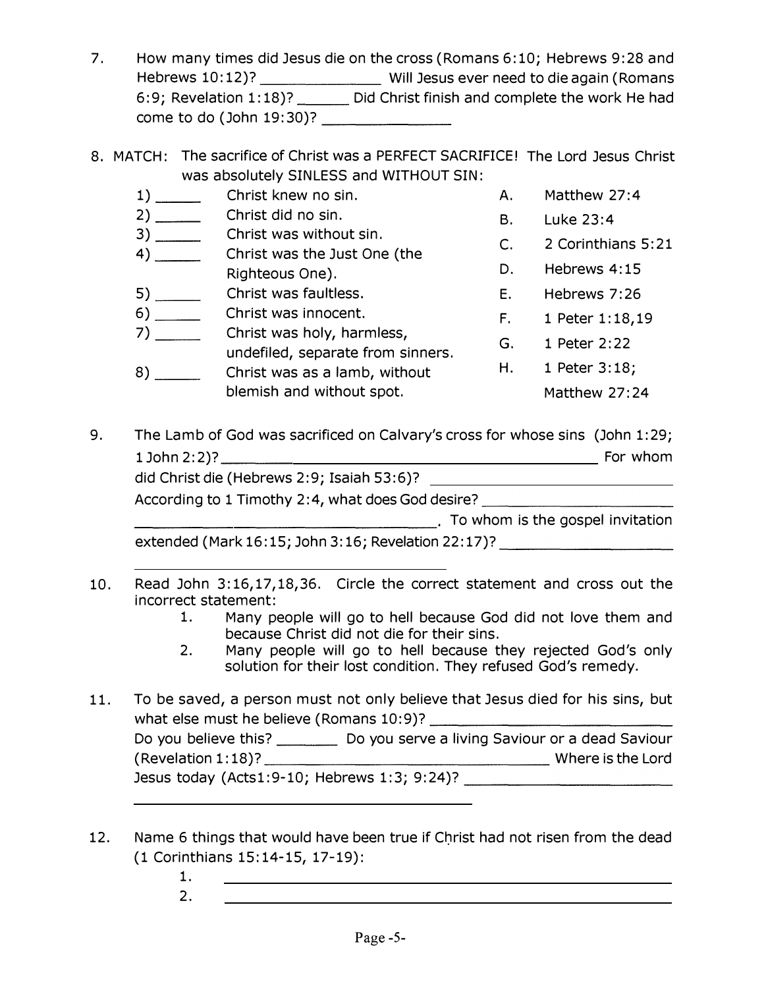- 7. How many times did Jesus die on the cross (Romans 6: 10; Hebrews 9: 28 and Hebrews 10:12)? \_\_\_\_\_\_\_\_\_\_\_\_\_\_\_\_\_\_\_ Will Jesus ever need to die again (Romans 6:9; Revelation 1:18)? Did Christ finish and complete the work He had come to do (John 19:30)? \_\_\_\_\_\_ \_
- 8. MATCH: The sacrifice of Christ was a PERFECT SACRIFICE! The Lord Jesus Christ was absolutely SINLESS and WITHOUT SIN:

| 1)                   | Christ knew no sin.                                                                                                                                                                                                            | Α. | Matthew 27:4       |
|----------------------|--------------------------------------------------------------------------------------------------------------------------------------------------------------------------------------------------------------------------------|----|--------------------|
|                      | Christ did no sin.                                                                                                                                                                                                             | В. | Luke 23:4          |
|                      | Christ was without sin.                                                                                                                                                                                                        | C. | 2 Corinthians 5:21 |
|                      | Christ was the Just One (the                                                                                                                                                                                                   |    | Hebrews 4:15       |
|                      | Righteous One).                                                                                                                                                                                                                | D. |                    |
|                      | Christ was faultless.                                                                                                                                                                                                          | Ε. | Hebrews 7:26       |
|                      | Christ was innocent.                                                                                                                                                                                                           | F. | 1 Peter 1:18,19    |
|                      | Christ was holy, harmless,<br>undefiled, separate from sinners.                                                                                                                                                                | G. | 1 Peter 2:22       |
|                      | Christ was as a lamb, without                                                                                                                                                                                                  | H. | 1 Peter 3:18;      |
|                      | blemish and without spot.                                                                                                                                                                                                      |    | Matthew 27:24      |
|                      | The Lamb of God was sacrificed on Calvary's cross for whose sins (John 1:29;                                                                                                                                                   |    |                    |
|                      |                                                                                                                                                                                                                                |    |                    |
|                      | According to 1 Timothy 2:4, what does God desire? ______________________________                                                                                                                                               |    |                    |
|                      | To whom is the gospel invitation and the settlement of the settlement of the settlement of the settlement of the settlement of the settlement of the settlement of the settlement of the settlement of the settlement of the s |    |                    |
|                      | extended (Mark 16:15; John 3:16; Revelation 22:17)? ____________________________                                                                                                                                               |    |                    |
|                      |                                                                                                                                                                                                                                |    |                    |
| incorrect statement: | Read John 3:16,17,18,36. Circle the correct statement and cross out the                                                                                                                                                        |    |                    |
| 1.                   | Many people will go to hell because God did not love them and<br>because Christ did not die for their sins.                                                                                                                    |    |                    |
|                      | 2 Many neonle will go to hell hecause they rejected God's only                                                                                                                                                                 |    |                    |

9. The Lamb of God was sacrificed on Calvary's cross for whose sins (John 1:29; 1 John 2: 2)? For whom did Christ die (Hebrews 2:9; Isaiah 53:6)? According to 1 Timothy 2:4, what does God desire? \_\_\_\_\_\_\_\_\_\_\_\_\_\_\_\_\_\_\_\_\_\_\_\_\_\_\_\_\_\_

- 10. Read John 3:16,17,18,36. Circle the correct statement and cross out the incorrect statement:
	- 1. Many people will go to hell because God did not love them and because Christ did not die for their sins.
	- 2. Many people will go to hell because they rejected God's only solution for their lost condition. They refused God's remedy.
- 11. To be saved, a person must not only believe that Jesus died for his sins, but what else must he believe (Romans 10:9)? \_\_\_\_\_\_\_\_\_\_\_\_ \_ Do you believe this? \_\_\_\_\_\_\_\_\_ Do you serve a living Saviour or a dead Saviour (Revelation 1: 18)? \_\_\_\_\_\_\_\_\_\_\_\_\_\_\_ Where is the Lord Jesus today (Acts1:9-10; Hebrews 1:3; 9:24)? \_\_\_\_\_\_\_\_\_\_ \_
- 12. Name 6 things that would have been true if Christ had not risen from the dead (1 Corinthians 15:14-15, 17-19):
	- 1.
		- 2.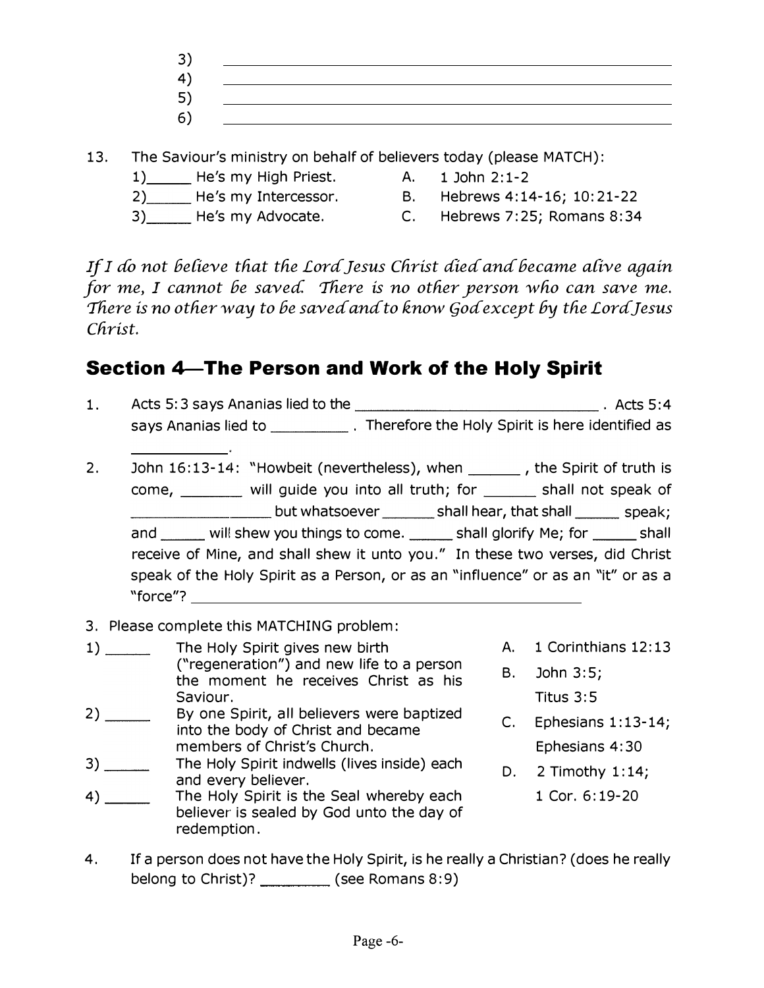- 3) 4) 5) 6)
- 13. The Saviour's ministry on behalf of believers today ( please MATCH):
	- 1) He's my High Priest. A. 1 John 2:1-2
- - 2) He's my Intercessor. B. Hebrews 4:14-16; 10:21-22
- -
- 
- 3) He's my Advocate. C. Hebrews 7:25; Romans 8:34

If I do not believe that the Lord Jesus Christ died and became alive again for me, I cannot be saved. There is no other person who can save me. There is no other way to be saved and to know God except by the Lord Jesus Christ.

# Section 4-The Person and Work of the Holy Spirit

- 1. Acts 5: 3 says Ananias lied to the **Acts** 5: 4 says Ananias lied to \_\_\_\_\_\_\_\_\_\_\_\_\_. Therefore the Holy Spirit is here identified as 2. John 16:13-14: "Howbeit (nevertheless), when \_\_\_\_\_\_, the Spirit of truth is \_\_\_\_\_\_\_\_\_\_\_\_\_\_\_\_\_\_\_\_\_\_\_\_\_but whatsoever \_\_\_\_\_\_\_\_\_ shall hear, that shall \_\_\_\_\_\_\_ speak; come, \_\_\_\_\_\_\_ will guide you into all truth; for \_\_\_\_\_\_ shall not speak of and \_\_\_\_\_ will shew you things to come. \_\_\_\_\_ shall glorify Me; for \_\_\_\_\_ shall receive of Mine, and shall shew it unto you." In these two verses, did Christ speak of the Holy Spirit as a Person, or as an "influence" or as an "it" or as a "force"?
- 3. Please complete this MATCHING problem:
- 1) The Holy Spirit gives new birth ("regeneration") and new life to a person the moment he receives Christ as his Saviour.
- 2) \_\_\_\_\_\_\_\_ By one Spirit, all believers were baptized into the body of Christ and became members of Christ's Church.
- 3) \_\_\_\_\_\_\_\_ The Holy Spirit indwells (lives inside) each and every believer.
- 4) \_\_\_\_\_\_\_\_ The Holy Spirit is the Seal whereby each believer is sealed by God unto the day of redemption.
- A. 1 Corinthians 12:13
- B. John 3:5; Titus 3:5
- C. Ephesians 1: 13-14; Ephesians 4:30
- D. 2 Timothy 1: 14; 1 Cor. 6: 19-20
- 4. If a person does not have the Holy Spirit, is he really a Christian? ( does he really belong to Christ)? \_\_\_\_\_\_\_\_\_ (see Romans 8:9)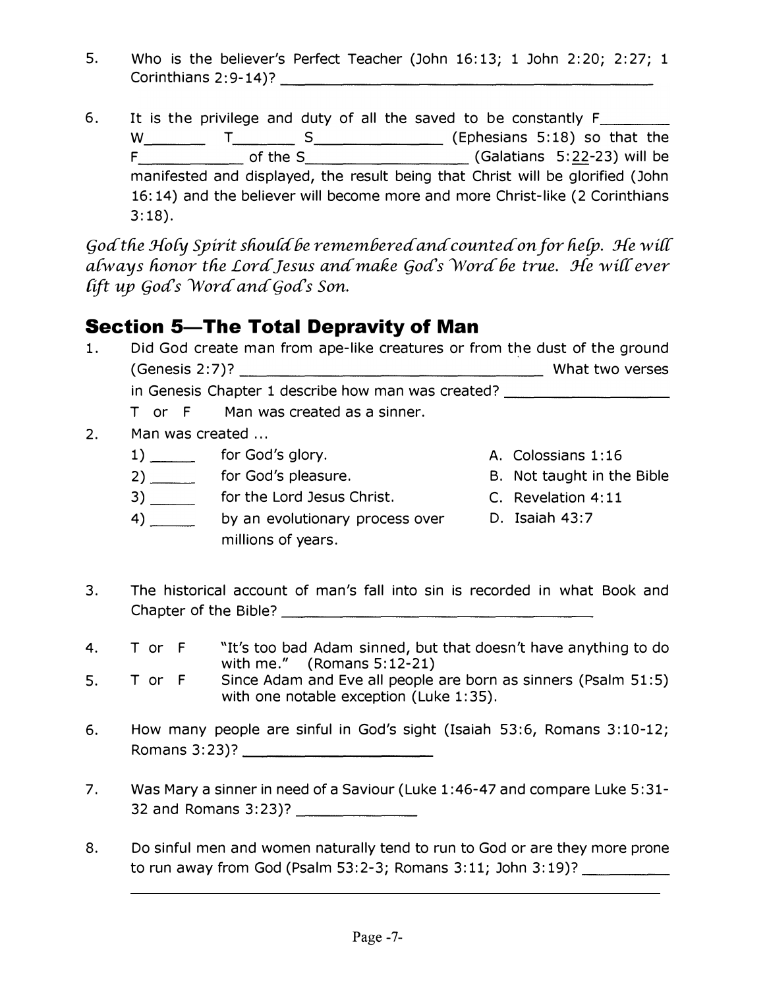- 5. Who is the believer's Perfect Teacher (John 16:13; 1 John 2:20; 2:27; 1
- Who is the believer's Perfect Teacher (John 16:13; 1 John 2:20; 2:27;<br>Corinthians 2:9-14)?<br>It is the privilege and duty of all the saved to be constantly Frances (Ephesians 5:18) so that the same of the Sandware (Galatians 6. It is the privilege and duty of all the saved to be constantly  $F_{\perp}$ W T S (Ephesians 5: 18) so that the  $F_{\_}$  of the S  $\_$  (Galatians 5:22-23) will be manifested and displayed, the result being that Christ will be glorified (John 16: 14) and the believer will become more and more Christ-like (2 Corinthians 3:18).

God the Holy Spirit should be remembered and counted on for help. He will always honor the Lord Jesus and make God's Word be true. He will ever lift up God's Word and God's Son.

#### **Section 5-The Total Depravity of Man**

|    | Did God create man from ape-like creatures or from the dust of the ground |                 |  |
|----|---------------------------------------------------------------------------|-----------------|--|
|    |                                                                           | What two verses |  |
|    | in Genesis Chapter 1 describe how man was created?                        |                 |  |
|    | T or F Man was created as a sinner.                                       |                 |  |
| 2. | Man was created                                                           |                 |  |

- 1) for God's glory. A. Colossians 1:16
	- 2) \_\_\_\_\_\_\_ for God's pleasure. The Bible B. Not taught in the Bible
	- 3) \_\_\_\_\_\_\_ for the Lord Jesus Christ. C. Revelation 4:11
- 
- - -
	- 4) by an evolutionary process over D. Isaiah 43:7 millions of years.
- 3. The historical account of man's fall into sin is recorded in what Book and Chapter of the Bible? \_\_\_\_\_\_\_\_\_\_\_\_\_\_\_\_ \_
- 4. T or F "It's too bad Adam sinned, but that doesn't have anything to do with me."  $($  Romans 5:12-21 $)$
- 5. T or F Since Adam and Eve all people are born as sinners (Psalm 51:5) with one notable exception (Luke 1:35).
- 6. How many people are sinful in God's sight (Isaiah 53:6, Romans 3: 10-12; Romans 3:23)? \_\_\_\_\_\_\_\_\_\_\_\_\_\_\_\_\_\_\_\_\_\_\_\_\_\_
- 7. Was Mary a sinner in need of a Saviour (Luke 1 :46-47 and compare Luke 5: 31- 32 and Romans 3:23)? \_\_\_\_\_ \_
- 8. Do sinful men and women naturally tend to run to God or are they more prone to run away from God (Psalm 53:2-3; Romans 3:11; John 3:19)?  $\frac{1}{2}$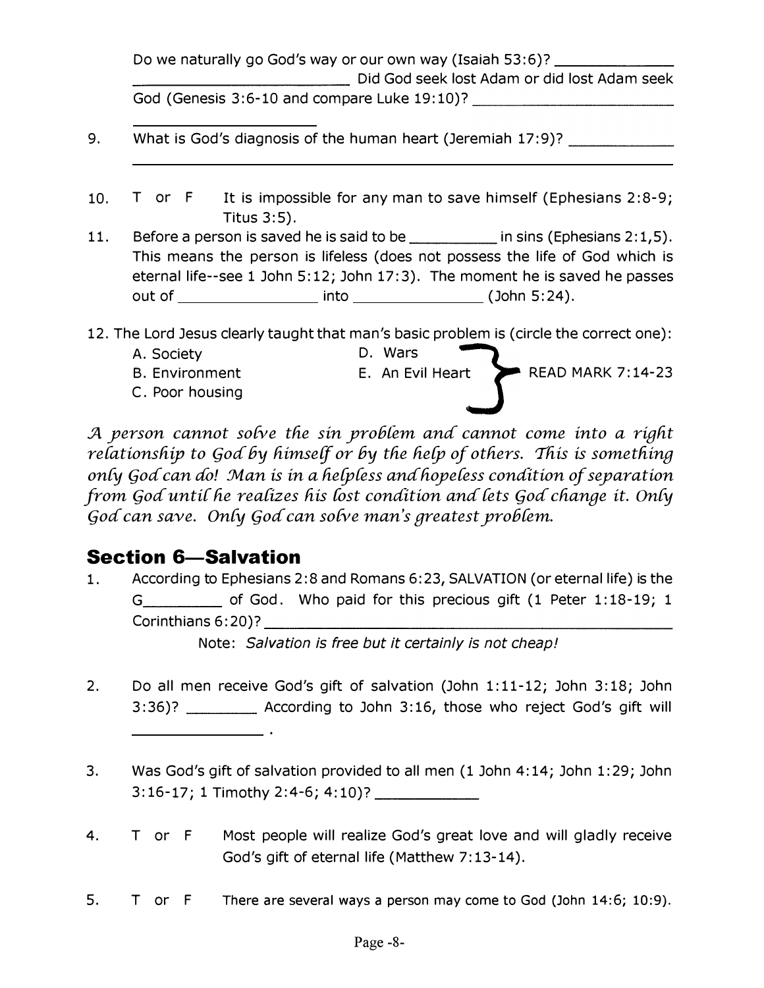|     | Do we naturally go God's way or our own way (Isaiah 53:6)? ________                                                                                                                          |
|-----|----------------------------------------------------------------------------------------------------------------------------------------------------------------------------------------------|
|     | Did God seek lost Adam or did lost Adam seek                                                                                                                                                 |
|     | God (Genesis 3:6-10 and compare Luke 19:10)? ___________________________________                                                                                                             |
| 9.  | What is God's diagnosis of the human heart (Jeremiah 17:9)? ____________________                                                                                                             |
| 10. | T or $F$ It is impossible for any man to save himself (Ephesians 2:8-9;<br>Titus $3:5$ ).                                                                                                    |
| 11. | This means the person is lifeless (does not possess the life of God which is<br>eternal life--see 1 John 5:12; John 17:3). The moment he is saved he passes<br>out of into into (John 5:24). |
|     | 12. The Lord Jesus clearly taught that man's basic problem is (circle the correct one):                                                                                                      |
|     | D. Wars<br>A. Society                                                                                                                                                                        |
|     | <b>READ MARK 7:14-23</b><br>E. An Evil Heart<br><b>B. Environment</b>                                                                                                                        |

C. Poor housing

A person cannot solve the sin problem and cannot come into a right relationship to God by himself or by the help of others. This is something only God can do! Man is in a helpless and hopeless condition of separation from God until he realizes his lost condition and lets God change it. Only God can save. Only God can solve man's greatest problem.

#### **Section 6-Salvation**

 $1<sub>1</sub>$ According to Ephesians 2:8 and Romans 6:23, SALVATION (or eternal life) is the G\_\_\_\_\_\_\_\_\_\_\_\_\_\_\_ of God. Who paid for this precious gift (1 Peter 1:18-19; 1 Corinthians 6:20)?

Note: Salvation is free but it certainly is not cheap!

- $2.$ Do all men receive God's gift of salvation (John 1:11-12; John 3:18; John 3:36)? \_\_\_\_\_\_\_\_\_\_ According to John 3:16, those who reject God's gift will
- $3.$ Was God's gift of salvation provided to all men (1 John 4:14; John 1:29; John
- 4. T or F Most people will realize God's great love and will gladly receive God's gift of eternal life (Matthew 7:13-14).
- 5. T or F There are several ways a person may come to God (John 14:6; 10:9).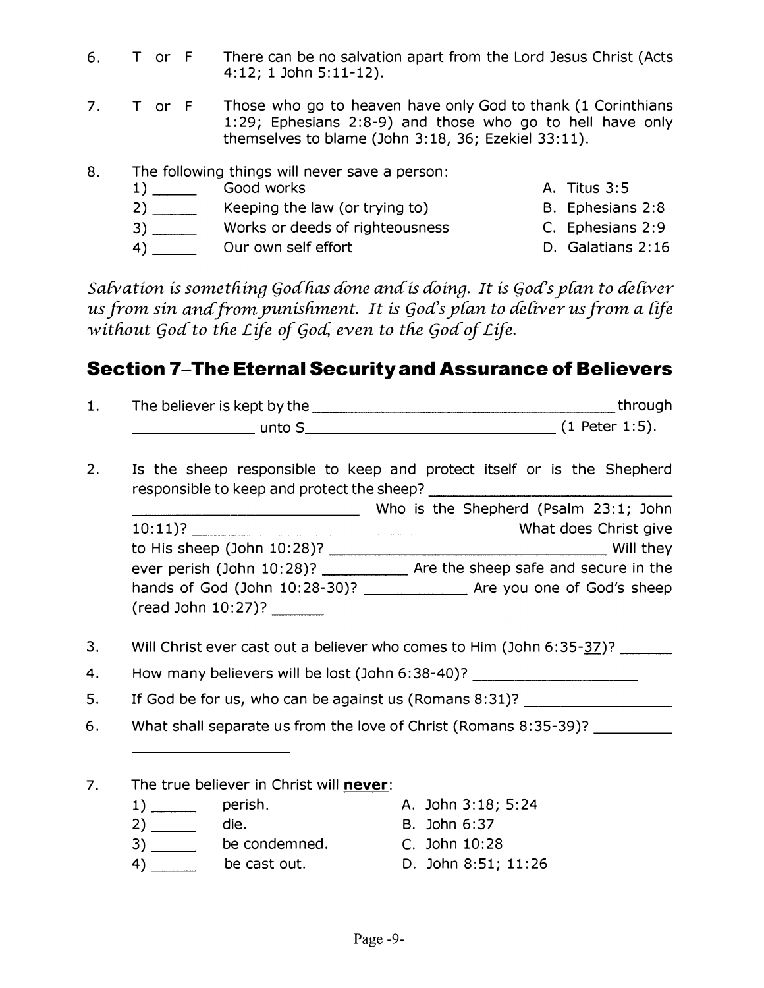- 6. T or F There can be no salvation apart from the Lord Jesus Christ (Acts 4: 12; 1 John 5: 11-12).
- 7. T or F Those who go to heaven have only God to thank (1 Corinthians 1:29; Ephesians 2:8-9) and those who go to hell have only themselves to blame (John 3:18, 36; Ezekiel 33:11).
- 8. The following things will never save a person:
	- 1) Good works A. Titus 3:5 2) \_\_\_\_\_\_\_\_ Keeping the law (or trying to) B. Ephesians 2:8 3) \_\_\_\_\_\_\_\_ Works or deeds of righteousness c. Ephesians 2:9 4) Our own self effort D. Galatians 2:16

#### Section 7-The Eternal Security and Assurance of Believers

| ı. | The believer is kept by the | through          |
|----|-----------------------------|------------------|
|    | unto S                      | $(1$ Peter 1:5). |

|    | 6. T or F | There can be no salvation apart from the Lord Jesus Christ (Acts<br>$4:12; 1$ John $5:11-12$ ).                                                                                                                          |                   |
|----|-----------|--------------------------------------------------------------------------------------------------------------------------------------------------------------------------------------------------------------------------|-------------------|
|    | 7. T or F | Those who go to heaven have only God to thank (1 Corinthians<br>1:29; Ephesians 2:8-9) and those who go to hell have only<br>themselves to blame (John 3:18, 36; Ezekiel 33:11).                                         |                   |
| 8. |           | The following things will never save a person:                                                                                                                                                                           |                   |
|    |           |                                                                                                                                                                                                                          | A. Titus 3:5      |
|    |           | Keeping the law (or trying to)                                                                                                                                                                                           | B. Ephesians 2:8  |
|    |           | Works or deeds of righteousness                                                                                                                                                                                          | C. Ephesians 2:9  |
|    |           | Our own self effort                                                                                                                                                                                                      | D. Galatians 2:16 |
|    |           | Salvation is something Godhas done and is doing. It is God's plan to deliver<br>us from sin and from punishment.  It is God's plan to deliver us from a life<br>without God to the Life of God, even to the God of Life. |                   |
|    |           | Section 7–The Eternal Security and Assurance of Believers                                                                                                                                                                |                   |
| 1. |           |                                                                                                                                                                                                                          |                   |
|    |           |                                                                                                                                                                                                                          |                   |
| 2. |           | Is the sheep responsible to keep and protect itself or is the Shepherd                                                                                                                                                   |                   |
|    |           | Mho is the Shepherd (Psalm 23:1; John ו Who is the Shepherd (Psalm 23:1; John                                                                                                                                            |                   |
|    |           |                                                                                                                                                                                                                          |                   |
|    |           |                                                                                                                                                                                                                          |                   |
|    |           | ever perish (John 10:28)? _____________ Are the sheep safe and secure in the                                                                                                                                             |                   |
|    |           | hands of God (John 10:28-30)? _________________ Are you one of God's sheep<br>(read John 10:27)? _______                                                                                                                 |                   |

- 3. Will Christ ever cast out a believer who comes to Him (John 6:35-37)?
- 4. How many believers will be lost (John 6:38-40)?
- 5. If God be for us, who can be against us (Romans 8:31)? \_\_\_\_\_\_\_\_\_\_\_\_\_\_\_\_\_\_\_\_\_\_
- 6. What shall separate us from the love of Christ (Romans 8:35-39)?

#### 7. The true believer in Christ will never:

- 1) perish. A. John 3:18; 5:24
- 2) \_\_\_\_\_\_\_ die. B. John 6:37
- 3) \_\_\_\_\_\_\_ be condemned. C. John 10:28
- 
- -
- 4) be cast out. D. John 8:51; 11:26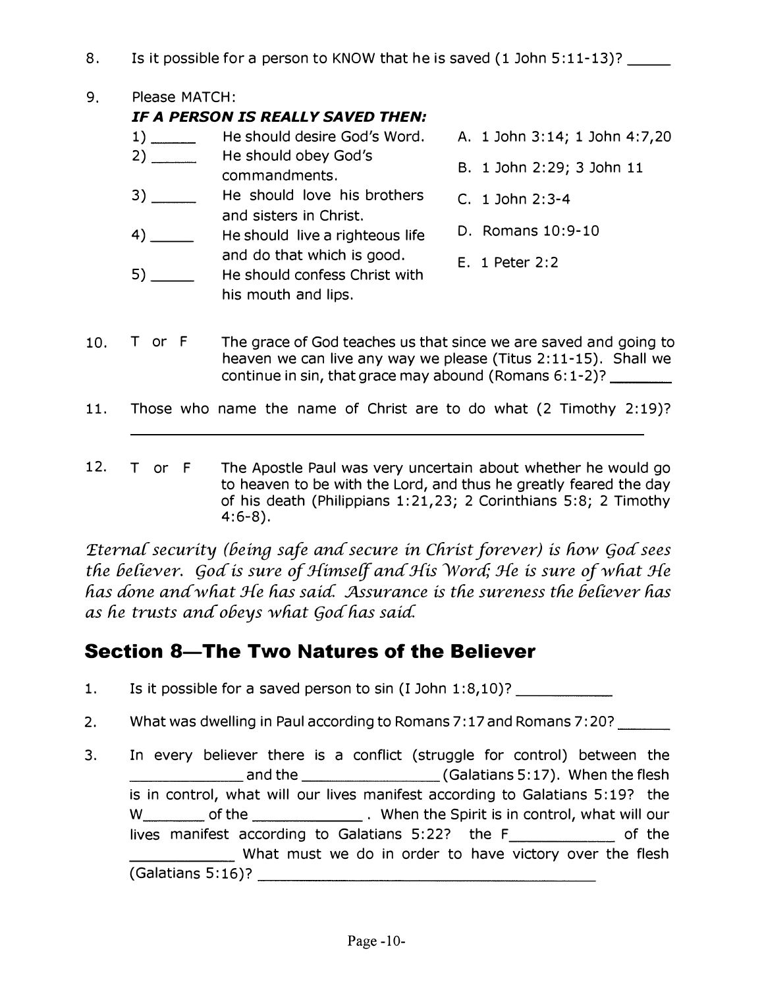8. Is it possible for a person to KNOW that he is saved (1 John 5:11-13)?

9. Please MATCH:

#### IF A PERSON IS REALLY SAVED THEN:

1) \_\_\_\_\_\_\_\_\_\_ He should desire God's Word. 2) \_\_\_\_\_\_\_\_\_ He should obey God's  $3)$   $\qquad$ 4) \_\_ commandments. He should love his brothers and sisters in Christ. He should live a righteous life and do that which is good. A. 1 John 3: 14; 1 John 4:7,20 B. 1 John 2:29; 3 John 11 C. 1 John 2:3-4 D. Romans 10:9-10

5) \_\_ He should confess Christ with his mouth and lips.

- E. 1 Peter 2:2
- 10. T or F The grace of God teaches us that since we are saved and going to heaven we can live any way we please (Titus 2:11-15). Shall we continue in sin, that grace may abound (Romans  $6:1-2$ )? \_\_\_\_\_\_\_\_\_
- 11. Those who name the name of Christ are to do what (2 Timothy 2:19)?
- 12. T or F The Apostle Paul was very uncertain about whether he would go to heaven to be with the Lord, and thus he greatly feared the day of his death (Philippians 1:21,23; 2 Corinthians 5:8; 2 Timothy 4:6-8).

Eternal security (being safe and secure in Christ forever) is how God sees the believer. God is sure of Himself and His Word; He is sure of what He has done and what He has said. Assurance is the sureness the believer has as he trusts and obeys what God has said.

#### Section 8-The Two Natures of the Believer

- 1. Is it possible for a saved person to  $sin (I John 1:8,10)?$  \_\_\_\_\_\_\_\_\_\_\_\_\_\_\_\_\_\_\_\_\_\_\_\_\_\_
- 2. What was dwelling in Paul according to Romans 7:17 and Romans 7:20?
- 3. \_\_\_\_\_\_ and the (Galatians 5: 17). When the flesh In every believer there is a conflict (struggle for control) between the is in control, what will our lives manifest according to Galatians 5: 19? the W of the . When the Spirit is in control, what will our \_\_\_\_\_\_ What must we do in order to have victory over the flesh lives manifest according to Galatians  $5:22$ ? the  $F$  \_\_\_\_\_\_\_\_\_\_\_\_\_\_\_ of the  $(Galatians 5:16)$ ?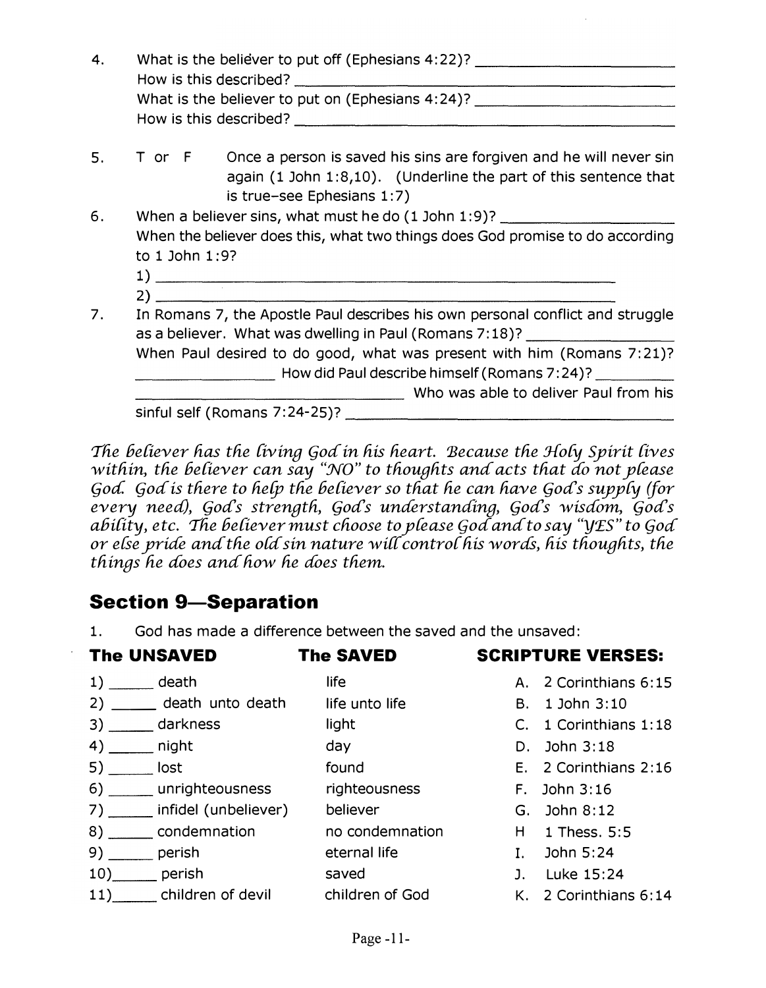| 4. | What is the believer to put off (Ephesians 4:22)? ______________________________                                                                                                                                                                                                                                                                                                                                                                                                                                                                                         |  |  |
|----|--------------------------------------------------------------------------------------------------------------------------------------------------------------------------------------------------------------------------------------------------------------------------------------------------------------------------------------------------------------------------------------------------------------------------------------------------------------------------------------------------------------------------------------------------------------------------|--|--|
|    | What is the believer to put on (Ephesians 4:24)?                                                                                                                                                                                                                                                                                                                                                                                                                                                                                                                         |  |  |
| 5. | T or F Once a person is saved his sins are forgiven and he will never sin<br>again (1 John 1:8,10). (Underline the part of this sentence that<br>is true-see Ephesians 1:7)                                                                                                                                                                                                                                                                                                                                                                                              |  |  |
| 6. | When a believer sins, what must he do (1 John 1:9)? ____________________________<br>When the believer does this, what two things does God promise to do according<br>to 1 John 1:9?<br>$\overline{1}$ ) $\overline{1}$ $\overline{1}$ $\overline{1}$ $\overline{1}$ $\overline{1}$ $\overline{1}$ $\overline{1}$ $\overline{1}$ $\overline{1}$ $\overline{1}$ $\overline{1}$ $\overline{1}$ $\overline{1}$ $\overline{1}$ $\overline{1}$ $\overline{1}$ $\overline{1}$ $\overline{1}$ $\overline{1}$ $\overline{1}$ $\overline{1}$ $\overline{1}$ $\overline{1}$ $\over$ |  |  |
| 7. | In Romans 7, the Apostle Paul describes his own personal conflict and struggle<br>as a believer. What was dwelling in Paul (Romans 7:18)? ________________________<br>When Paul desired to do good, what was present with him (Romans 7:21)?<br>_ How did Paul describe himself (Romans 7:24)? ________<br>Who was able to deliver Paul from his<br>$\frac{1}{2}$ sinful self (Romans 7:24-25)?                                                                                                                                                                          |  |  |
|    |                                                                                                                                                                                                                                                                                                                                                                                                                                                                                                                                                                          |  |  |

The believer has the living God in his heart. Because the Holy Spirit lives within, the believer can say "NO" to thoughts and acts that do not please God. God is there to help the believer so that he can have God's supply (for every need), God's strength, God's understanding, God's wisdom, God's ability, etc. The believer must choose to please God and to say "YES" to God or else pride and the old sin nature will control his words, his thoughts, the things he does and how he does them.

#### **Section 9-Separation**

God has made a difference between the saved and the unsaved:  $1.$ 

| <b>The UNSAVED</b>                        | <b>The SAVED</b> | <b>SCRIPTURE VERSES:</b> |
|-------------------------------------------|------------------|--------------------------|
| $1)$ death                                | life             | A. 2 Corinthians 6:15    |
| 2) ______ death unto death life unto life |                  | B. 1 John 3:10           |
| 3) darkness                               | light            | C. 1 Corinthians 1:18    |
| $4)$ _______ night                        | day              | D. John $3:18$           |
| $5)$ ________ lost                        | found            | E. 2 Corinthians 2:16    |
| 6) _______ unrighteousness righteousness  |                  | $F.$ John $3:16$         |
| 7) _____ infidel (unbeliever)             | believer         | G. John 8:12             |
| 8) condemnation no condemnation           |                  | H 1 Thess. 5:5           |
| $9)$ _______ perish                       | eternal life     | I. John $5:24$           |
| $10)$ perish                              | saved            | J. Luke 15:24            |
| 11) Children of devil children of God     |                  | K. 2 Corinthians 6:14    |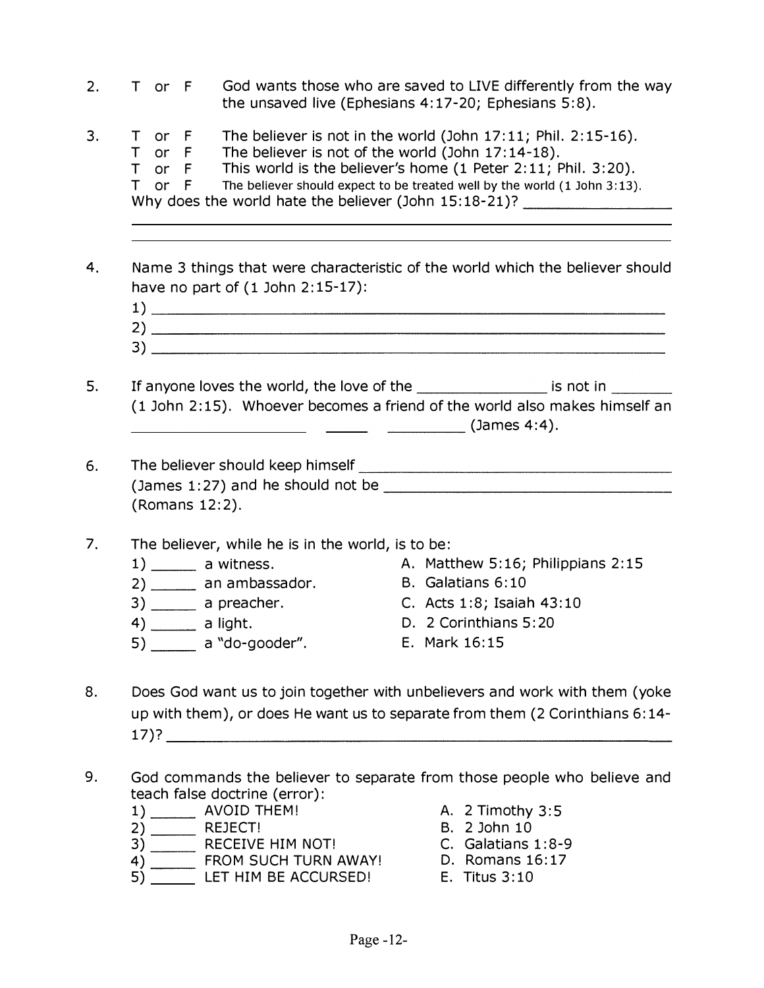- $2.$ T or F God wants those who are saved to LIVE differently from the way the unsaved live (Ephesians 4:17-20; Ephesians 5:8).
- $3.$ T or F The believer is not in the world (John  $17:11$ ; Phil.  $2:15-16$ ). T or F The believer is not of the world (John 17:14-18). T or F This world is the believer's home (1 Peter 2:11; Phil. 3:20).  $T$  or  $F$ The believer should expect to be treated well by the world (1 John 3:13). Why does the world hate the believer (John 15:18-21)?
- 4. Name 3 things that were characteristic of the world which the believer should have no part of  $(1$  John  $2:15-17$ :
	-
- If anyone loves the world, the love of the \_\_\_\_\_\_\_\_\_\_\_\_\_\_\_\_\_\_\_\_\_ is not in \_\_\_\_\_\_\_ 5. (1 John 2:15). Whoever becomes a friend of the world also makes himself an  $\begin{array}{cccccccccc} & & & & \text{(James 4:4)}. \end{array}$
- 6. (James 1:27) and he should not be  $\overline{\phantom{a}}$ (Romans 12:2).
- The believer, while he is in the world, is to be:  $7<sub>1</sub>$ 
	- $1)$  \_\_\_\_\_\_\_ a witness. A. Matthew 5:16; Philippians 2:15 B. Galatians 6:10 2) \_\_\_\_\_\_\_ an ambassador.  $3)$  \_\_\_\_\_\_\_ a preacher. C. Acts 1:8; Isaiah 43:10  $4)$  \_\_\_\_\_\_\_\_\_ a light. D. 2 Corinthians 5:20  $\overline{5}$  a "do-gooder". E. Mark 16:15
		-
- 8. Does God want us to join together with unbelievers and work with them (yoke up with them), or does He want us to separate from them (2 Corinthians 6:14- $17$  )?
- 9. God commands the believer to separate from those people who believe and teach false doctrine (error):
	-
	-
	-
	-
	- 1) AVOID THEM! A. 2 Timothy 3:5<br>
	2) REJECT! B. 2 John 10<br>
	3) RECEIVE HIM NOT! C. Galatians 1:8-9<br>
	4) FROM SUCH TURN AWAY! D. Romans 16:17<br>
	5) LET HIM BE ACCURSED! E. Titus 3:10
		-
		-
		-
		-
		-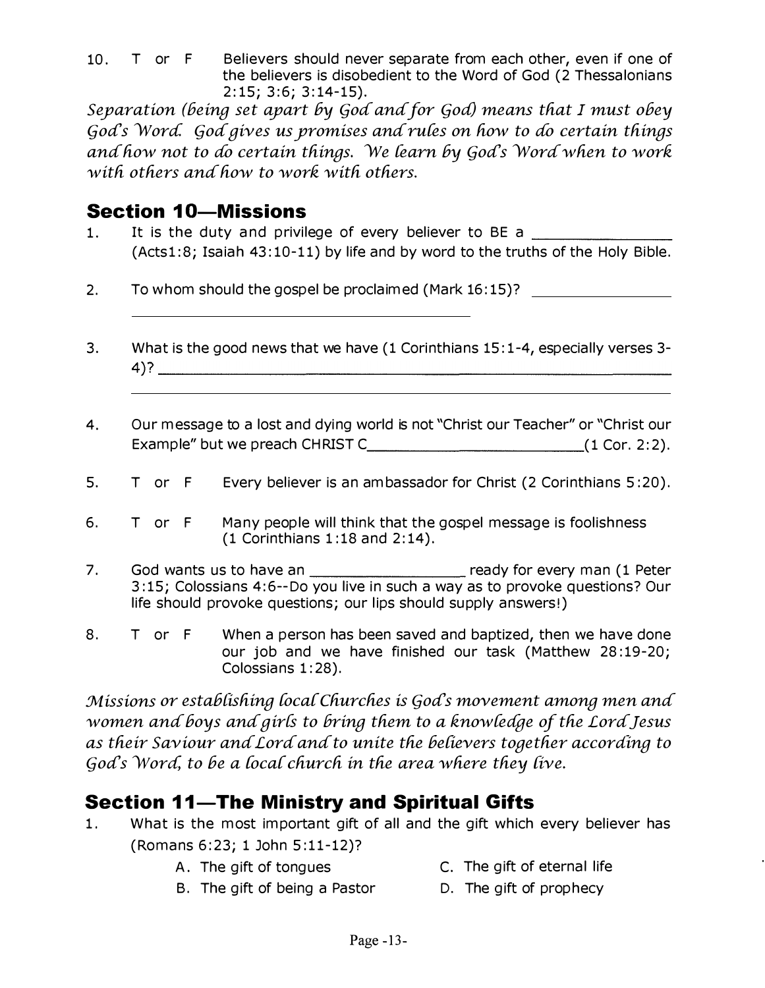10. T or F Believers should never separate from each other, even if one of the believers is disobedient to the Word of God (2 Thessalonians  $2:15; 3:6; 3:14-15$ .

Separation (being set apart by God and for God) means that I must obey God's Word. God gives us promises and rules on how to do certain things and how not to do certain things. We learn by God's Word when to work with others and how to work with others.

#### **Section 10-Missions**

- It is the duty and privilege of every believer to BE a  $1<sub>1</sub>$ (Acts1:8; Isaiah 43:10-11) by life and by word to the truths of the Holy Bible.
- $2.$ To whom should the gospel be proclaimed (Mark 16:15)?
- $3.$ What is the good news that we have (1 Corinthians 15:1-4, especially verses 3- $4)$ ?
- Our message to a lost and dying world is not "Christ our Teacher" or "Christ our 4.
- 5. T or F Every believer is an ambassador for Christ (2 Corinthians 5:20).
- 6. T or F Many people will think that the gospel message is foolishness  $(1$  Corinthians 1:18 and 2:14).
- $7<sub>1</sub>$ 3:15; Colossians 4:6--Do you live in such a way as to provoke questions? Our life should provoke questions; our lips should supply answers!)
- When a person has been saved and baptized, then we have done 8. T or F our job and we have finished our task (Matthew 28:19-20; Colossians 1:28).

Missions or establishing local Churches is God's movement among men and women and boys and girls to bring them to a knowledge of the Lord Jesus as their Saviour and Lord and to unite the believers together according to God's Word, to be a local church in the area where they live.

## **Section 11-The Ministry and Spiritual Gifts**

- $1.$ What is the most important gift of all and the gift which every believer has (Romans 6:23; 1 John 5:11-12)?
	- A. The gift of tongues
- C. The gift of eternal life
- B. The gift of being a Pastor D. The gift of prophecy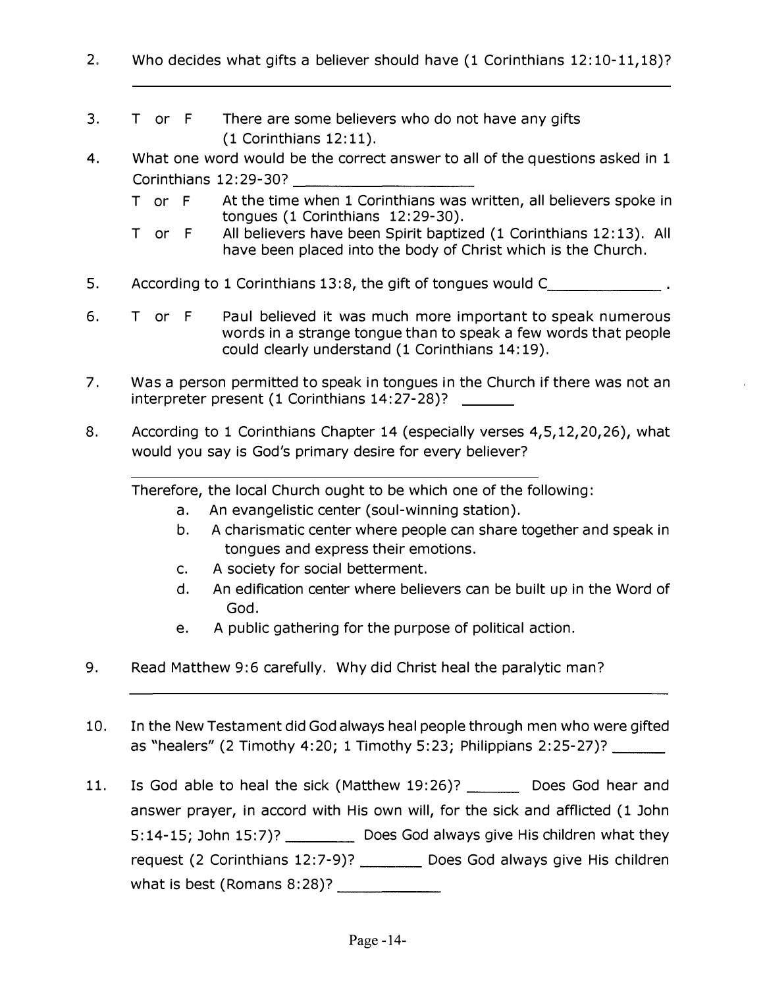- 2. Who decides what gifts a believer should have (1 Corinthians 12:10-11,18)?
- 3. T or F There are some believers who do not have any gifts (1 Corinthians 12: 11).
- 4. What one word would be the correct answer to all of the questions asked in 1 Who decides what gifts a believer should have (<br>
T or F There are some believers who do no<br>
(1 Corinthians 12:11).<br>
What one word would be the correct answer to a<br>
Corinthians 12:29-30?<br>
T or F At the time when 1 Corinthia
	- T or F At the time when 1 Corinthians was written, all believers spoke in tongues (1 Corinthians 12:29-30).
	- T or F All believers have been Spirit baptized (1 Corinthians 12: 13). All have been placed into the body of Christ which is the Church.
- 5. According to 1 Corinthians 13:8, the gift of tongues would C
- 6. T or F Paul believed it was much more important to speak numerous words in a strange tongue than to speak a few words that people could clearly understand (1 Corinthians 14: 19).
- 7. Was a person permitted to speak in tongues in the Church if there was not an interpreter present (1 Corinthians 14: 27-28)?
- 8. According to 1 Corinthians Chapter 14 (especially verses 4,5,12,20,26), what would you say is God's primary desire for every believer?

Therefore, the local Church ought to be which one of the following:

- a. An evangelistic center (soul-winning station).
- b. A charismatic center where people can share together and speak in tongues and express their emotions.
- c. A society for social betterment.
- d. An edification center where believers can be built up in the Word of God.
- e. A public gathering for the purpose of political action.
- 9. Read Matthew 9:6 carefully. Why did Christ heal the paralytic man?
- 10. In the New Testament did God always heal people through men who were gifted as "healers" (2 Timothy 4:20; 1 Timothy 5:23; Philippians 2:25-27)? \_\_\_\_\_\_\_
- 11. Is God able to heal the sick (Matthew 19:26)? Does God hear and answer prayer, in accord with His own will, for the sick and afflicted (1 John 5:14-15; John 15:7)? Does God always give His children what they request (2 Corinthians 12:7-9)? \_\_\_\_\_\_\_\_\_ Does God always give His children what is best (Romans 8:28)? \_\_ \_\_ \_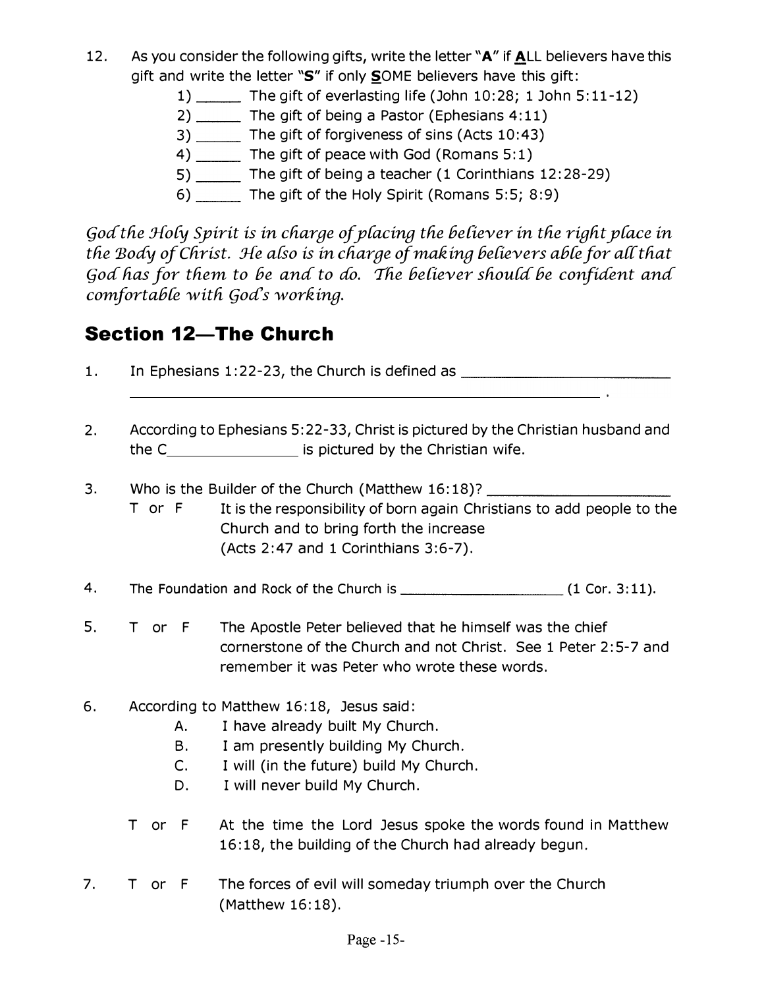- 12. As you consider the following gifts, write the letter "A" if ALL believers have this gift and write the letter "S" if only SOME believers have this gift:
	- $1)$  \_\_\_\_\_\_ The gift of everlasting life (John 10:28; 1 John 5:11-12)
	- 2) The gift of being a Pastor (Ephesians 4:11)
	- 3) The gift of forgiveness of sins (Acts 10:43)
	- 4) \_\_\_\_\_\_ The gift of peace with God (Romans 5:1)
	- 5) \_\_\_\_\_\_ The gift of being a teacher (1 Corinthians 12:28-29)
	- 6) The gift of the Holy Spirit (Romans 5:5; 8:9)

God the Holy Spirit is in charge of placing the believer in the right place in the Body of Christ. He also is in charge of making believers able for all that God has for them to be and to do. The believer should be confident and comfortable with God's working.

#### **Section 12-The Church**

- 1. In Ephesians 1:22-23, the Church is defined as \_\_\_\_\_\_\_\_\_\_\_\_\_\_\_\_
- 2. According to Ephesians 5: 22-33, Christ is pictured by the Christian husband and the C\_\_\_\_\_\_\_\_\_\_\_\_\_\_\_\_\_\_\_\_ is pictured by the Christian wife.
- 3. Who is the Builder of the Church (Matthew 16:18)?
- T or F It is the responsibility of born again Christians to add people to the Church and to bring forth the increase (Acts 2:47 and 1 Corinthians 3:6-7). The Foundation and Rock of the Church is university and Rock of the Church is pictured by the Christian husband and the C<br>
University of the Church (Matthew 16:18)?<br>
To reference the Church and to bring forth the increase<br>
- 4.
- 5. T or F The Apostle Peter believed that he himself was the chief cornerstone of the Church and not Christ. See 1 Peter 2: 5-7 and remember it was Peter who wrote these words.
- 6. According to Matthew 16: 18, Jesus said:
	- A. I have already built My Church.
	- B. I am presently building My Church.
	- C. I will (in the future) build My Church.
	- D. I will never build My Church.
	- T or F At the time the Lord Jesus spoke the words found in Matthew 16: 18, the building of the Church had already begun.
- 7. T or F The forces of evil will someday triumph over the Church (Matthew 16:18).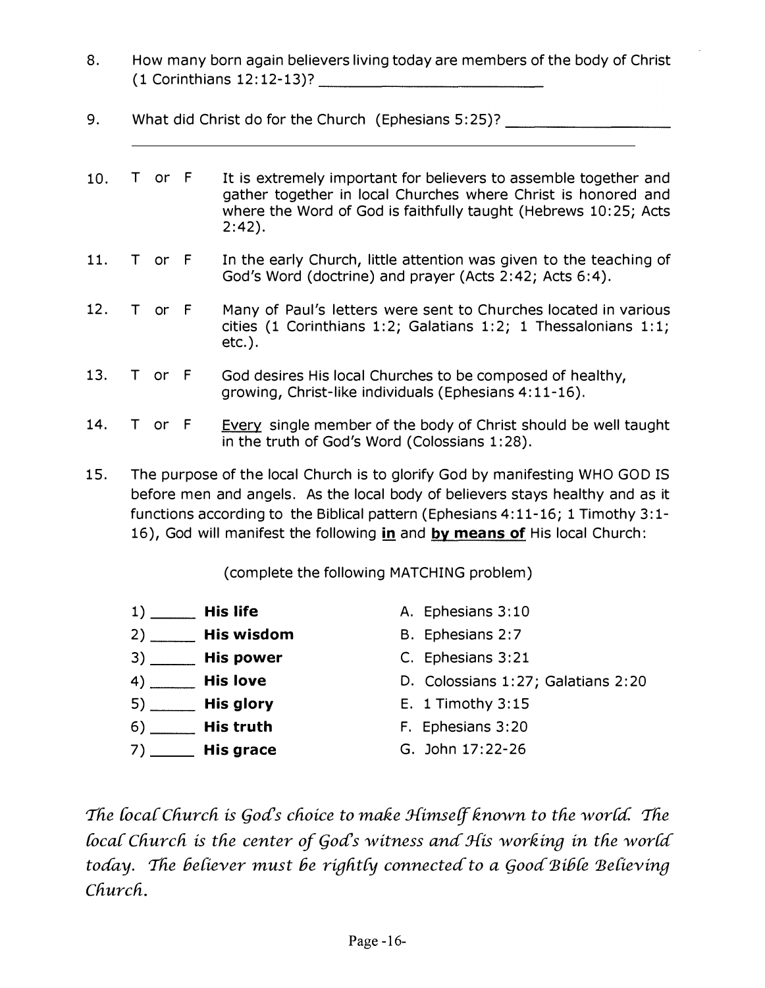- 8. How many born again believers living today are members of the body of Christ
- 9. What did Christ do for the Church (Ephesians 5:25)?
- How many born again believers living today are members of<br>
(1 Corinthians 12:12-13)?<br>
What did Christ do for the Church (Ephesians 5:25)?<br>
T or F It is extremely important for believers to assee<br>
gather together in local C 10. T or F It is extremely important for believers to assemble together and gather together in local Churches where Christ is honored and where the Word of God is faithfully taught (Hebrews 10:25; Acts 2:42).
- 11. T or F In the early Church, little attention was given to the teaching of God's Word (doctrine) and prayer (Acts 2:42; Acts 6:4).
- 12. T or F Many of Paul's letters were sent to Churches located in various cities (1 Corinthians 1:2; Galatians 1:2; 1 Thessalonians 1:1; etc. ).
- 13. T or F God desires His local Churches to be composed of healthy, growing, Christ-like individuals (Ephesians 4: 11-16).
- 14. T or F Every single member of the body of Christ should be well taught in the truth of God's Word (Colossians 1:28).
- 15. The purpose of the local Church is to glorify God by manifesting WHO GOD IS before men and angels. As the local body of believers stays healthy and as it functions according to the Biblical pattern (Ephesians 4: 11-16; 1 Timothy 3: 1- 16), God will manifest the following in and by means of His local Church:

(complete the following MATCHING problem)

| <b>His life</b><br>1)        | A. Ephesians 3:10                  |
|------------------------------|------------------------------------|
| _ His wisdom<br>$2)$ ___     | B. Ephesians 2:7                   |
| <b>His power</b>             | C. Ephesians 3:21                  |
| <b>His love</b><br>4)        | D. Colossians 1:27; Galatians 2:20 |
| <b>His glory</b>             | E. 1 Timothy $3:15$                |
| <b>His truth</b><br>6)       | F. Ephesians 3:20                  |
| <b>His grace</b><br>$7)$ $-$ | G. John 17:22-26                   |

The local Church is God's choice to make Himself known to the world. The local Church is the center of  $Gods$  witness and His working in the world today. The believer must be rightly connected to a Good Bible Believing Church.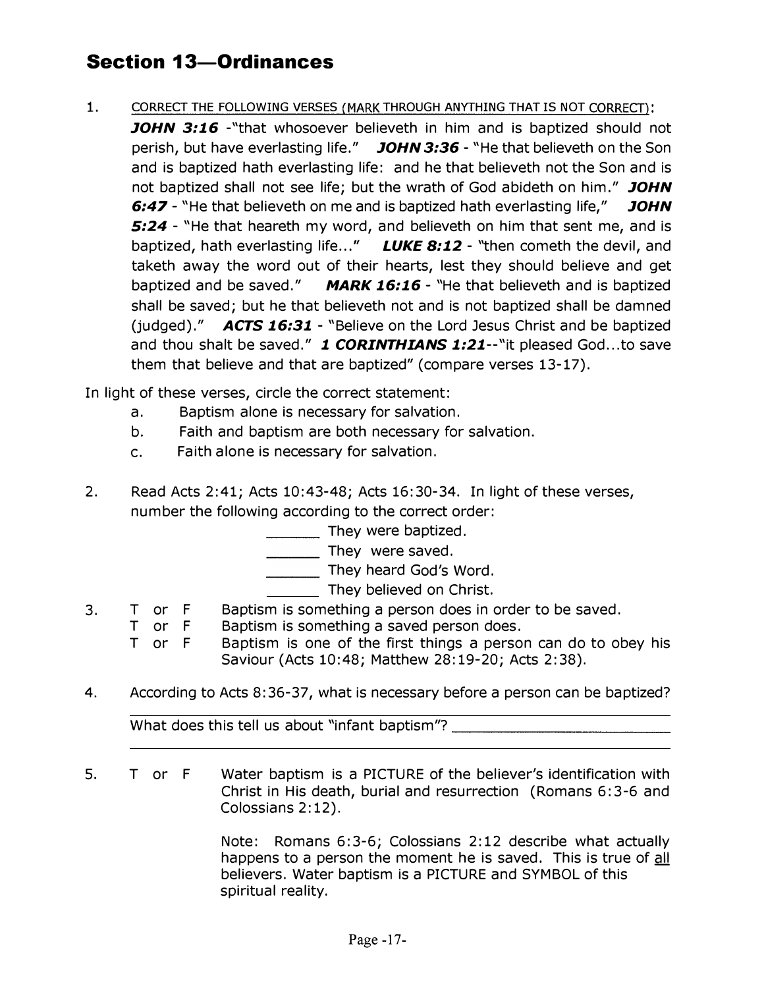# **Section 13-Ordinances**

- 1. CORRECT THE FOLLOWING VERSES (MARK THROUGH ANYTHING THAT IS NOT CORRECT):
	- **JOHN 3:16** "that whosoever believeth in him and is baptized should not perish, but have everlasting life." JOHN 3:36 - "He that believeth on the Son and is baptized hath everlasting life: and he that believeth not the Son and is not baptized shall not see life; but the wrath of God abideth on him." JOHN 6:47 - "He that believeth on me and is baptized hath everlasting life," JOHN 5:24 - "He that heareth my word, and believeth on him that sent me, and is baptized, hath everlasting life..." LUKE 8:12 - "then cometh the devil, and taketh away the word out of their hearts, lest they should believe and get baptized and be saved."  $MARK 16:16$  - "He that believeth and is baptized shall be saved; but he that believeth not and is not baptized shall be damned (judged)."  $\overline{ACTS}$  16:31 - "Believe on the Lord Jesus Christ and be baptized and thou shalt be saved." 1 CORINTHIANS 1:21--"it pleased God...to save them that believe and that are baptized" (compare verses 13-17).

In light of these verses, circle the correct statement:

- a. Baptism alone is necessary for salvation.
- b. Faith and baptism are both necessary for salvation.
- c. Faith alone is necessary for salvation.
- 2. Read Acts 2:41; Acts 10:43-48; Acts 16:30-34. In light of these verses, number the following according to the correct order:
	- \_\_\_ They were baptized.
	- \_\_\_ They were saved.
	- \_\_\_ They heard God's Word.
		- They believed on Christ.
- 3. T or F Baptism is something a person does in order to be saved.
	- T or F Baptism is something a saved person does.
		- T or F Baptism is one of the first things a person can do to obey his Saviour (Acts 10:48; Matthew 28:19-20; Acts 2:38).
- 4. According to Acts 8:36-37, what is necessary before a person can be baptized?

What does this tell us about "infant baptism"?

5. T or F Water baptism is a PICTURE of the believer's identification with Christ in His death, burial and resurrection (Romans 6: 3-6 and Colossians 2: 12).

> Note: Romans 6:3-6; Colossians 2:12 describe what actually happens to a person the moment he is saved. This is true of all believers. Water baptism is a PICTURE and SYMBOL of this spiritual reality.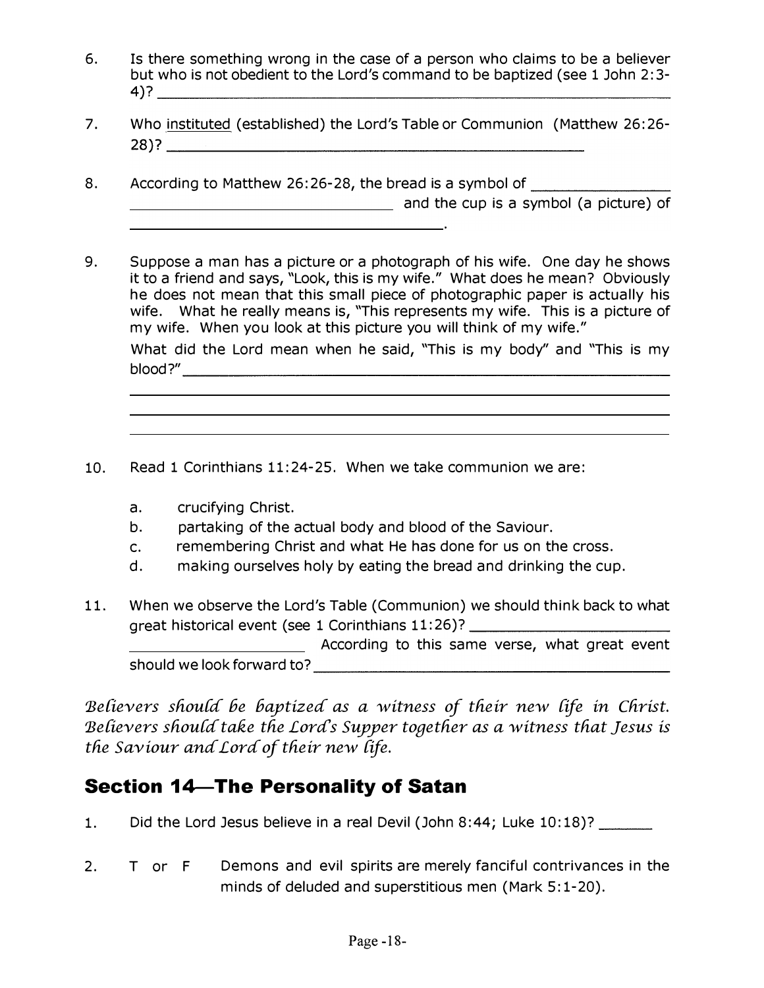- 6. Is there something wrong in the case of a person who claims to be a believer but who is not obedient to the Lord's command to be baptized (see 1 John 2:3- 4)? \_\_\_\_\_\_\_\_\_\_\_\_\_\_\_\_\_\_\_\_\_\_\_\_\_\_\_ \_
- 7. Who instituted (established) the Lord's Table or Communion (Matthew 26:26- 28)? \_\_\_\_\_\_\_\_\_\_\_\_\_\_\_\_\_\_\_\_\_\_ \_
- 8. According to Matthew 26:26-28, the bread is a symbol of \_\_\_\_\_\_\_\_\_ **and the cup is a symbol (a picture) of** and the cup is a symbol (a picture) of
- 9. Suppose a man has a picture or a photograph of his wife. One day he shows it to a friend and says, "Look, this is my wife. " What does he mean? Obviously he does not mean that this small piece of photographic paper is actually his wife. What he really means is, "This represents my wife. This is a picture of my wife. When you look at this picture you will think of my wife. " What did the Lord mean when he said, "This is my body" and "This is my Is there something wrong in the case of a person who claims to be a believer<br>
stutt who is not obselient to the Lord's command to be baptized (see 1 John 2:3-<br>
4)?<br>
Who instituted (established) the Lord's Table or Communio to:26-28, the pread is a symbol of picture) of<br>and the cup is a symbol (a picture) of<br>and the cup is a symbol (a picture) of<br>those, this is my wife," what does he mean? Obviously<br>this small piece of photographic paper is
- 10. Read 1 Corinthians 11:24-25. When we take communion we are:
	- a. crucifying Christ.
	- b. partaking of the actual body and blood of the Saviour.
	- c. remembering Christ and what He has done for us on the cross.
	- d. making ourselves holy by eating the bread and drinking the cup.
- 11. When we observe the Lord's Table (Communion) we should think back to what great historical event (see 1 Corinthians 11:26)? \_\_\_\_\_\_\_\_\_\_\_\_\_\_\_\_\_\_\_\_\_\_\_\_\_\_\_\_\_\_

According to this same verse, what great event should we look forward

Believers should be baptized as a witness of their new life in Christ. Believers should take the Lord's Supper together as a witness that Jesus is the Saviour and Lord of their new life.

#### Section 14-The Personality of Satan

- 1. Did the Lord Jesus believe in a real Devil (John 8:44; Luke 10:18)?
- 2. T or F Demons and evil spirits are merely fanciful contrivances in the minds of deluded and superstitious men (Mark 5: 1-20).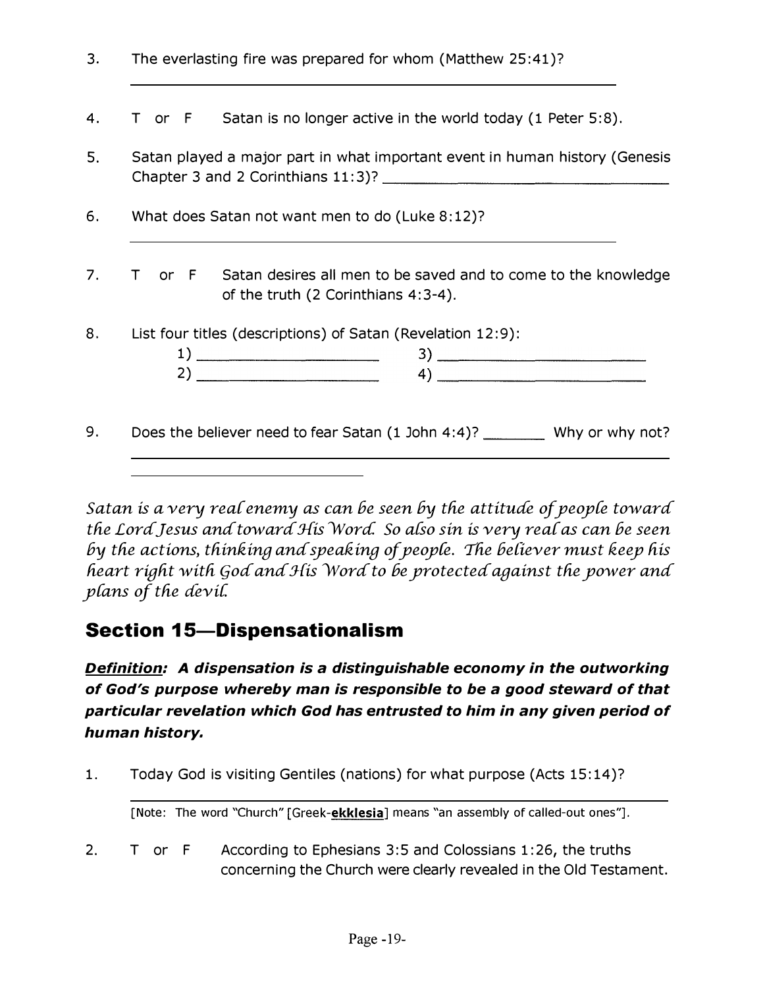| 3. | The everlasting fire was prepared for whom (Matthew 25:41)?                                                                                                       |
|----|-------------------------------------------------------------------------------------------------------------------------------------------------------------------|
| 4. | T or $F$ Satan is no longer active in the world today (1 Peter 5:8).                                                                                              |
| 5. | Satan played a major part in what important event in human history (Genesis                                                                                       |
| 6. | What does Satan not want men to do (Luke 8:12)?                                                                                                                   |
| 7. | T or F Satan desires all men to be saved and to come to the knowledge<br>of the truth (2 Corinthians 4:3-4).                                                      |
| 8. | List four titles (descriptions) of Satan (Revelation 12:9):<br>$\left( \begin{array}{c} 1 \end{array} \right)$<br>$\left( \begin{array}{c} 4 \end{array} \right)$ |
| 9. | Does the believer need to fear Satan (1 John 4:4)? __________ Why or why not?                                                                                     |
|    |                                                                                                                                                                   |

Satan is a very real enemy as can be seen by the attitude of people toward the Lord Jesus and toward His Word. So also sin is very real as can be seen by the actions, thinking and speaking of people. The believer must keep his heart right with God and His Word to be protected against the power and plans of the devil.

## **Section 15-Dispensationalism**

**Definition:** A dispensation is a distinguishable economy in the outworking of God's purpose whereby man is responsible to be a good steward of that particular revelation which God has entrusted to him in any given period of human history.

 $1.$ Today God is visiting Gentiles (nations) for what purpose (Acts 15:14)?

[Note: The word "Church" [Greek-ekklesia] means "an assembly of called-out ones"].

 $2.$ T or F According to Ephesians 3:5 and Colossians 1:26, the truths concerning the Church were clearly revealed in the Old Testament.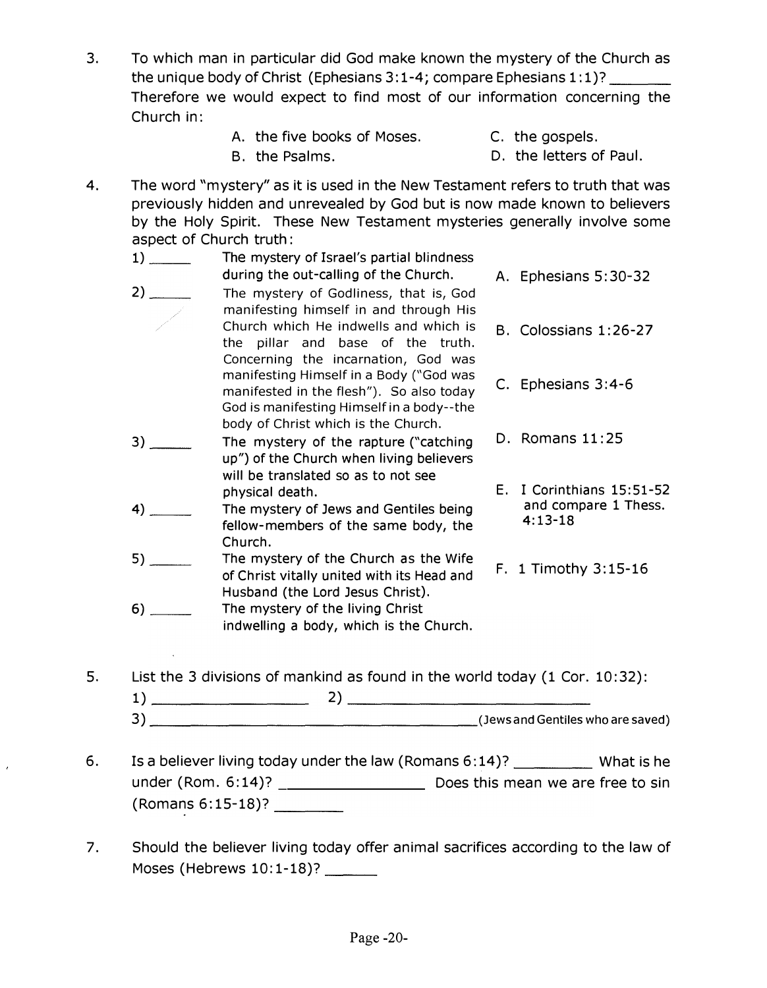- 3. To which man in particular did God make known the mystery of the Church as the unique body of Christ (Ephesians 3:1-4; compare Ephesians  $1:1$ )? Therefore we would expect to find most of our information concerning the Church in:
	- A. the five books of Moses.
- C. the gospels.

B. the Psalms.

- D. the letters of Paul.
- 4. The word "mystery" as it is used in the New Testament refers to truth that was previously hidden and unrevealed by God but is now made known to believers by the Holy Spirit. These New Testament mysteries generally involve some aspect of Church truth:
	- 1) The mystery of Israel's partial blindness during the out-calling of the Church. A. Ephesians 5:30-32  $2)$ 3) \_\_ 4) 5) 6) \_\_ The mystery of Godliness, that is, God manifesting himself in and through His Church which He indwells and which is the pillar and base of the truth. Concerning the incarnation, God was manifesting Himself in a Body ("God was manifested in the flesh"). So also today God is manifesting Himself in a body--the body of Christ which is the Church. The mystery of the rapture ("catching up") of the Church when living believers will be translated so as to not see physical death. The mystery of Jews and Gentiles being fellow-members of the same body, the Church. The mystery of the Church as the Wife of Christ vitally united with its Head and Husband (the Lord Jesus Christ). The mystery of the living Christ indwelling a body, which is the Church. B. Colossians 1: 26-27 C. Ephesians 3: 4-6 D. Romans 11:25 E. I Corinthians 15:51-52 and compare 1 Thess.  $4:13-18$ F. 1 Timothy 3:15-16
- 5. List the 3 divisions of mankind as found in the world today (1 Cor. 10: 32):

| $\overline{\phantom{0}}$<br>یب |  | (Jews and Gentiles who are saved) |
|--------------------------------|--|-----------------------------------|

- 6. Is a believer living today under the law (Romans  $6:14$ )? \_\_\_\_\_\_\_\_\_\_\_ What is he under (Rom.  $6:14$ )?  $\overline{\phantom{a}0}$  Does this mean we are free to sin (Romans 6: 15-18)? \_ \_ \_
- 7. Should the believer living today offer animal sacrifices according to the law of Moses (Hebrews  $10:1-18$ )?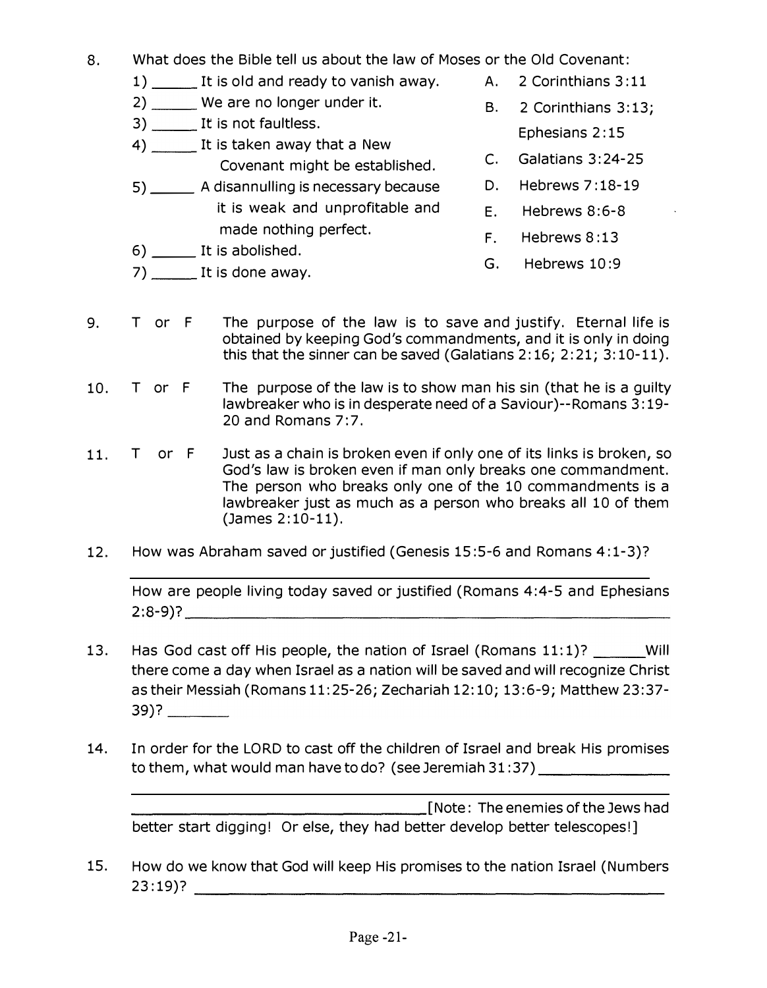- 8. What does the Bible tell us about the law of Moses or the Old Covenant:
	- 1) It is old and ready to vanish away. A. 2 Corinthians 3:11
	- $2)$  We are no longer under it.  $B. 2$  Corinthians 3:13;
	- 3) \_\_\_\_\_\_\_ It is not faultless.
	- 4) It is taken away that a New Covenant might be established.
	- 5) \_\_\_\_\_\_\_ A disannulling is necessary because it is weak and unprofitable and made nothing perfect.
	- 6) \_\_ It is abolished.
	- $7)$  \_\_\_\_\_\_\_ It is done away.
- - Ephesians 2: 15
- c. Galatians 3:24-25
- D. Hebrews 7: 18-19
- E. Hebrews 8:6-8
- F. Hebrews 8:13
- G. Hebrews 10:9
- 9. T or F The purpose of the law is to save and justify. Eternal life is obtained by keeping God's commandments, and it is only in doing this that the sinner can be saved (Galatians 2: 16; 2: 21; 3: 10-11).
- 10. T or F The purpose of the law is to show man his sin (that he is a guilty lawbreaker who is in desperate need of a Saviour)--Romans 3: 19- 20 and Romans 7:7.
- 11. T or F Just as a chain is broken even if only one of its links is broken, so God's law is broken even if man only breaks one commandment. The person who breaks only one of the 10 commandments is a lawbreaker just as much as a person who breaks all 10 of them (James 2: 10-11). 6)  $\frac{2}{2}$  It is abolished.<br>
27)  $\frac{1}{2}$  It is done awy.<br>
T or F The purpose of the law is to save and justify. Eternal life obtained by keeping God's commandments, and it is only in doin<br>
this that the sinner can be
- 12. How was Abraham saved or justified (Genesis 15:5-6 and Romans 4: 1-3)?

How are people living today saved or justified (Romans 4:4-5 and Ephesians  $2:8-9$  )?

- 13. Has God cast off His people, the nation of Israel (Romans 11:1)? \_\_\_\_\_\_ Will there come a day when Israel as a nation will be saved and will recognize Christ as their Messiah (Romans 11: 25-26; Zechariah 12:10; 13:6-9; Matthew 23:37- 39)? \_\_ \_ The person who breaks only one of the 10 comminations of the 10 commination and the person who breaks only one of the 10 commination and a person who breaks (James 2:10-11).<br>
How was Abraham saved or justified (Genesis 15:
- 14. In order for the LORD to cast off the children of Israel and break His promises to them, what would man have to do? (see Jeremiah 31:37) \_\_\_\_\_\_\_\_\_\_\_\_\_\_\_\_\_\_\_\_\_\_\_

**EXECUTE:** The enemies of the Jews had better start digging! Or else, they had better develop better telescopes!]

15. How do we know that God will keep His promises to the nation Israel (Numbers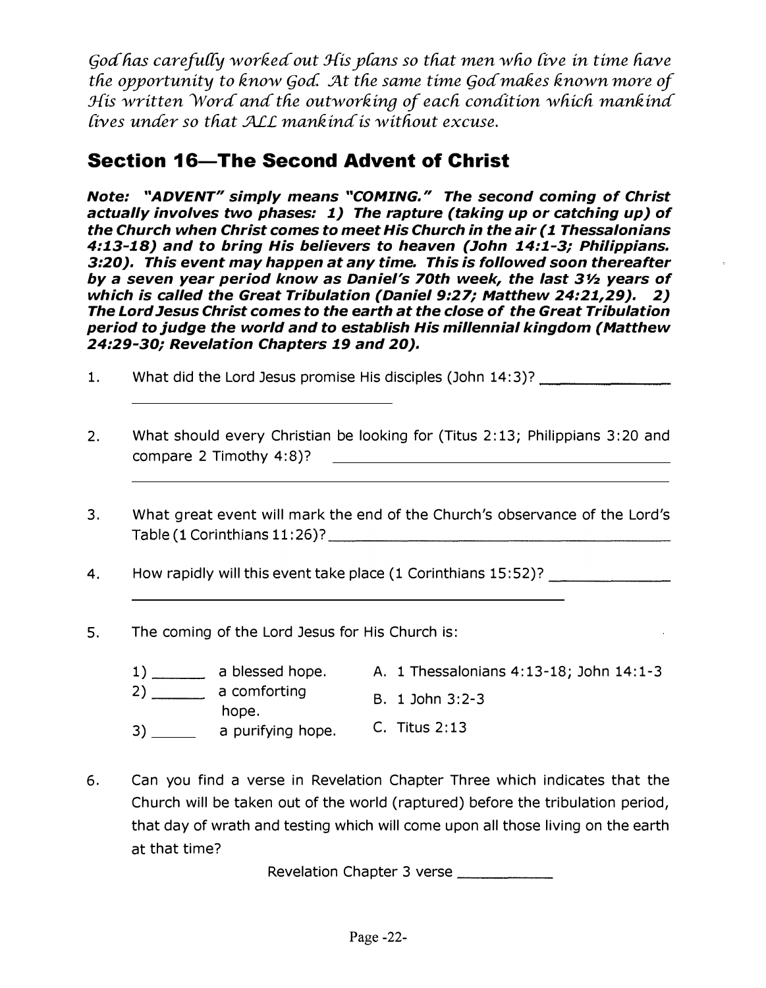God has carefully worked out His plans so that men who live in time have the opportunity to know God. At the same time God makes known more of His written Word and the outworking of each condition which mankind fives unaer so tliat ML mankina is witfiout excuse.

#### Section 16-The Second Advent of Christ

Note: "ADVENT" simply means "COMING. " The second coming of Christ actually involves two phases: 1) The rapture (taking up or catching up) of the Church when Christ comes to meet His Church in the air (1 Thessalonians 4:13-18) and to bring His believers to heaven (John 14:1-3; Philippians. 3:20). This event may happen at any time. This is followed soon thereafter by a seven year period know as Daniel's 70th week, the last  $3\frac{1}{2}$  years of which is called the Great Tribulation (Daniel 9:27; Matthew 24:21,29). 2) The Lord Jesus Christ comes to the earth at the close of the Great Tribulation period to judge the world and to establish His millennial kingdom (Matthew 24:29-30; Revelation Chapters 19 and 20).

- 1. What did the Lord Jesus promise His disciples (John 14:3)? \_\_\_\_\_\_\_\_\_\_\_\_\_\_\_\_\_\_
- 2. What should every Christian be looking for (Titus 2: 13; Philippians 3: 20 and compare 2 Timothy 4:8)7
- 3. What great event will mark the end of the Church's observance of the Lord's Table (1 Corinthians 11:26)7 \_\_\_\_\_\_\_\_\_\_\_\_\_\_\_\_\_ \_
- 4. How rapidly will this event take place (1 Corinthians 15:52)?
- 5. The coming of the Lord Jesus for His Church is:
	- $1)$  a blessed hope. A. 1 Thessalonians 4:13-18; John 14:1-3  $2)$  a comforting  $B. 1$  John 3:2-3 hope. 3) a purifying hope. C. Titus 2:13
- 6. Can you find a verse in Revelation Chapter Three which indicates that the Church will be taken out of the world (raptured) before the tribulation period, that day of wrath and testing which will come upon all those living on the earth at that time?

Revelation Chapter 3 verse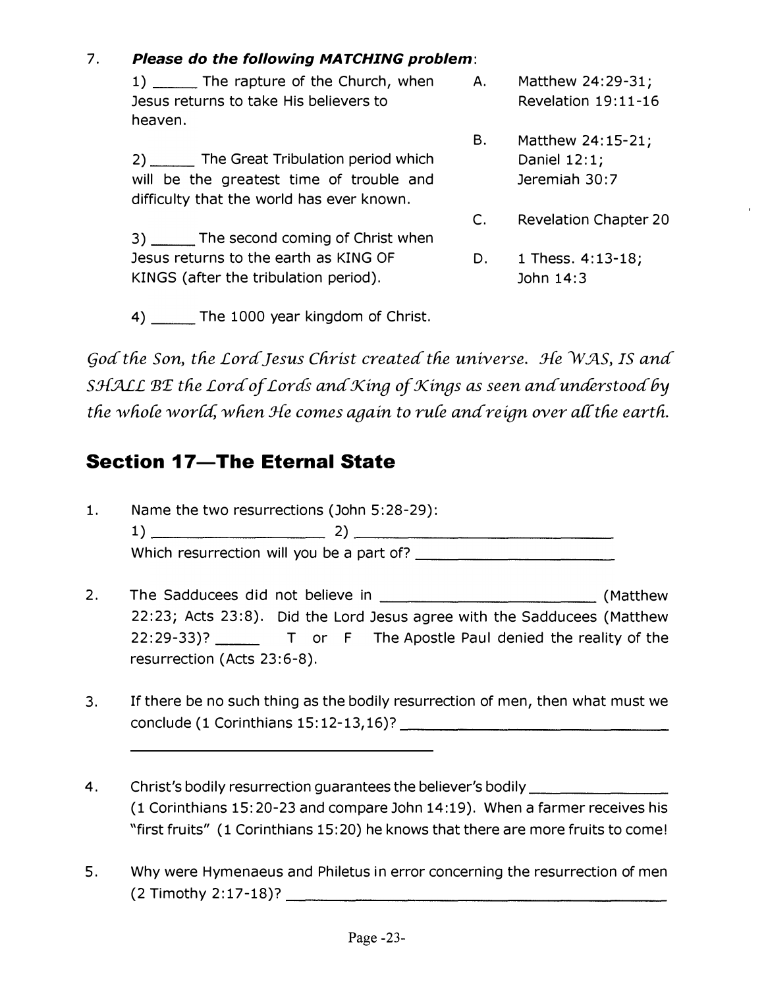#### $7.$ Please do the following MATCHING problem:

1) \_\_\_\_\_\_ The rapture of the Church, when Jesus returns to take His believers to heaven.

2) The Great Tribulation period which will be the greatest time of trouble and difficulty that the world has ever known.

3) The second coming of Christ when

Jesus returns to the earth as KING OF

KINGS (after the tribulation period).

A. Matthew 24:29-31; Revelation 19:11-16

- **B.** Matthew 24:15-21; Daniel 12:1; Jeremiah 30:7
- $C.$ **Revelation Chapter 20**
- D. 1 Thess. 4:13-18; John 14:3

4) \_\_\_\_\_ The 1000 year kingdom of Christ.

God the Son, the Lord Jesus Christ created the universe. He WAS, IS and SHALL BE the Lord of Lords and King of Kings as seen and understood by the whole world, when He comes again to rule and reign over all the earth.

#### **Section 17-The Eternal State**

- $1.$ Name the two resurrections (John 5:28-29): Which resurrection will you be a part of?
- $2.$ 22:23; Acts 23:8). Did the Lord Jesus agree with the Sadducees (Matthew resurrection (Acts 23:6-8).
- If there be no such thing as the bodily resurrection of men, then what must we 3.
- Christ's bodily resurrection guarantees the believer's bodily 4. (1 Corinthians 15:20-23 and compare John 14:19). When a farmer receives his "first fruits" (1 Corinthians 15:20) he knows that there are more fruits to come!
- Why were Hymenaeus and Philetus in error concerning the resurrection of men 5.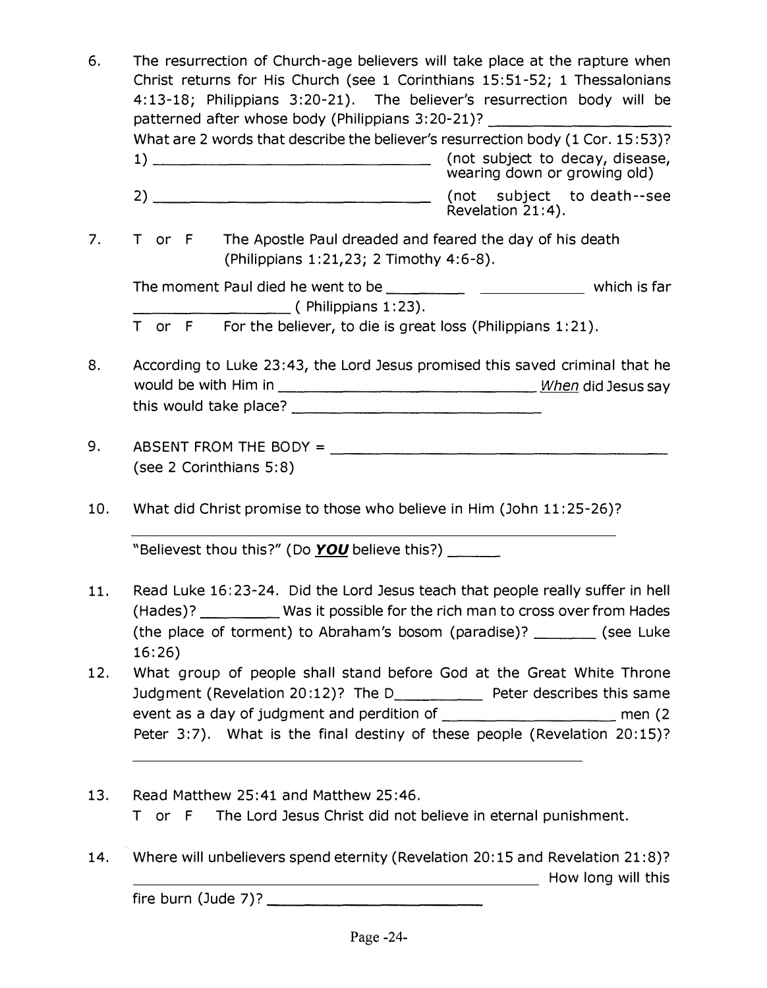| 6.  | The resurrection of Church-age believers will take place at the rapture when<br>Christ returns for His Church (see 1 Corinthians 15:51-52; 1 Thessalonians<br>4:13-18; Philippians 3:20-21). The believer's resurrection body will be<br>patterned after whose body (Philippians 3:20-21)? ______________________________<br>What are 2 words that describe the believer's resurrection body (1 Cor. 15:53)?<br>wearing down or growing old) |
|-----|----------------------------------------------------------------------------------------------------------------------------------------------------------------------------------------------------------------------------------------------------------------------------------------------------------------------------------------------------------------------------------------------------------------------------------------------|
|     | (not subject to death--see<br>Revelation 21:4).                                                                                                                                                                                                                                                                                                                                                                                              |
| 7.  | The Apostle Paul dreaded and feared the day of his death<br>T or F<br>(Philippians 1:21,23; 2 Timothy 4:6-8).                                                                                                                                                                                                                                                                                                                                |
|     |                                                                                                                                                                                                                                                                                                                                                                                                                                              |
|     | T or $F$ For the believer, to die is great loss (Philippians 1:21).                                                                                                                                                                                                                                                                                                                                                                          |
| 8.  | According to Luke 23:43, the Lord Jesus promised this saved criminal that he                                                                                                                                                                                                                                                                                                                                                                 |
| 9.  | ABSENT FROM THE BODY = $\sqrt{2\pi}$<br>(see 2 Corinthians 5:8)                                                                                                                                                                                                                                                                                                                                                                              |
| 10. | What did Christ promise to those who believe in Him (John 11:25-26)?                                                                                                                                                                                                                                                                                                                                                                         |
|     | Believest thou this?" (Do YOU believe this?) ______                                                                                                                                                                                                                                                                                                                                                                                          |
| 11. | Read Luke 16:23-24. Did the Lord Jesus teach that people really suffer in hell<br>(Hades)? ____________ Was it possible for the rich man to cross over from Hades<br>(the place of torment) to Abraham's bosom (paradise)? ________ (see Luke<br>16:26)                                                                                                                                                                                      |
| 12. | What group of people shall stand before God at the Great White Throne<br>Judgment (Revelation 20:12)? The D_____________ Peter describes this same<br>Peter 3:7). What is the final destiny of these people (Revelation 20:15)?                                                                                                                                                                                                              |
| 13. | Read Matthew 25:41 and Matthew 25:46.<br>The Lord Jesus Christ did not believe in eternal punishment.<br>T or F                                                                                                                                                                                                                                                                                                                              |
| 14. | Where will unbelievers spend eternity (Revelation 20:15 and Revelation 21:8)?<br>How long will this                                                                                                                                                                                                                                                                                                                                          |
|     | $fire \text{burn (Jude 7)}?$                                                                                                                                                                                                                                                                                                                                                                                                                 |